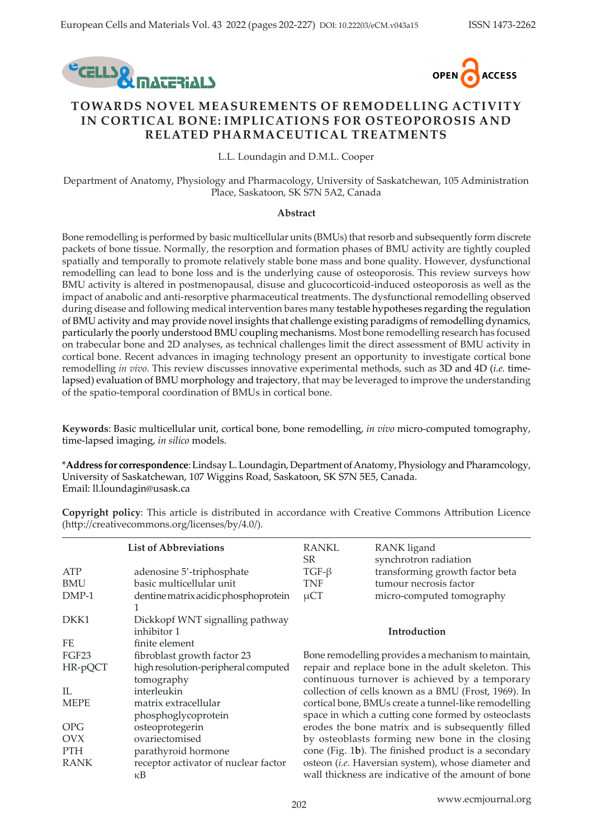



# **TOWARDS NOVEL MEASUREMENTS OF REMODELLING ACTIVITY IN CORTICAL BONE: IMPLICATIONS FOR OSTEOPOROSIS AND RELATED PHARMACEUTICAL TREATMENTS**

L.L. Loundagin and D.M.L. Cooper

Department of Anatomy, Physiology and Pharmacology, University of Saskatchewan, 105 Administration Place, Saskatoon, SK S7N 5A2, Canada

#### **Abstract**

Bone remodelling is performed by basic multicellular units (BMUs) that resorb and subsequently form discrete packets of bone tissue. Normally, the resorption and formation phases of BMU activity are tightly coupled spatially and temporally to promote relatively stable bone mass and bone quality. However, dysfunctional remodelling can lead to bone loss and is the underlying cause of osteoporosis. This review surveys how BMU activity is altered in postmenopausal, disuse and glucocorticoid-induced osteoporosis as well as the impact of anabolic and anti-resorptive pharmaceutical treatments. The dysfunctional remodelling observed during disease and following medical intervention bares many testable hypotheses regarding the regulation of BMU activity and may provide novel insights that challenge existing paradigms of remodelling dynamics, particularly the poorly understood BMU coupling mechanisms. Most bone remodelling research has focused on trabecular bone and 2D analyses, as technical challenges limit the direct assessment of BMU activity in cortical bone. Recent advances in imaging technology present an opportunity to investigate cortical bone remodelling *in vivo*. This review discusses innovative experimental methods, such as 3D and 4D (*i.e.* timelapsed) evaluation of BMU morphology and trajectory, that may be leveraged to improve the understanding of the spatio-temporal coordination of BMUs in cortical bone.

**Keywords**: Basic multicellular unit, cortical bone, bone remodelling, *in vivo* micro-computed tomography, time-lapsed imaging, *in silico* models.

\***Address for correspondence**: Lindsay L. Loundagin, Department of Anatomy, Physiology and Pharamcology, University of Saskatchewan, 107 Wiggins Road, Saskatoon, SK S7N 5E5, Canada. Email: ll.loundagin@usask.ca

**List of Abbreviations** ATP adenosine 5'-triphosphate BMU basic multicellular unit DMP-1 dentine matrix acidic phosphoprotein 1 DKK1 Dickkopf WNT signalling pathway inhibitor 1 FE finite element FGF23 fibroblast growth factor 23 HR-pQCT high resolution-peripheral computed tomography IL interleukin MEPE matrix extracellular phosphoglycoprotein OPG osteoprotegerin OVX ovariectomised PTH parathyroid hormone RANK receptor activator of nuclear factor κB RANKL RANK ligand SR synchrotron radiation TGF-β transforming growth factor beta TNF tumour necrosis factor µCT micro-computed tomography **Introduction** Bone remodelling provides a mechanism to maintain, repair and replace bone in the adult skeleton. This continuous turnover is achieved by a temporary collection of cells known as a BMU (Frost, 1969). In cortical bone, BMUs create a tunnel-like remodelling space in which a cutting cone formed by osteoclasts erodes the bone matrix and is subsequently filled by osteoblasts forming new bone in the closing cone (Fig. 1**b**). The finished product is a secondary osteon (*i.e.* Haversian system), whose diameter and wall thickness are indicative of the amount of bone

**Copyright policy**: This article is distributed in accordance with Creative Commons Attribution Licence (http://creativecommons.org/licenses/by/4.0/).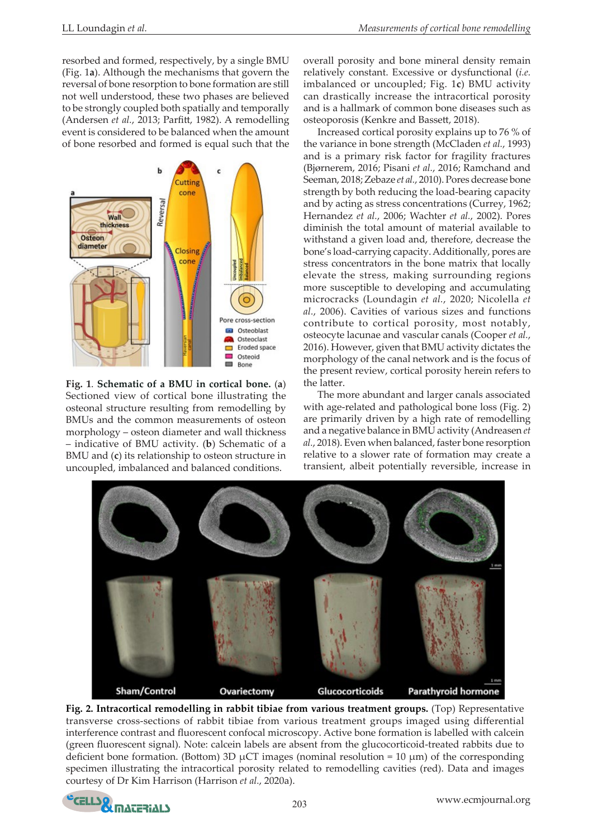resorbed and formed, respectively, by a single BMU (Fig. 1**a**). Although the mechanisms that govern the reversal of bone resorption to bone formation are still not well understood, these two phases are believed to be strongly coupled both spatially and temporally (Andersen *et al.*, 2013; Parfitt, 1982). A remodelling event is considered to be balanced when the amount of bone resorbed and formed is equal such that the



**Fig. 1**. **Schematic of a BMU in cortical bone.** (**a**) Sectioned view of cortical bone illustrating the osteonal structure resulting from remodelling by BMUs and the common measurements of osteon morphology – osteon diameter and wall thickness – indicative of BMU activity. (**b**) Schematic of a BMU and (**c**) its relationship to osteon structure in uncoupled, imbalanced and balanced conditions.

overall porosity and bone mineral density remain relatively constant. Excessive or dysfunctional (*i.e.* imbalanced or uncoupled; Fig. 1**c**) BMU activity can drastically increase the intracortical porosity and is a hallmark of common bone diseases such as osteoporosis (Kenkre and Bassett, 2018).

Increased cortical porosity explains up to 76 % of the variance in bone strength (McCladen *et al.*, 1993) and is a primary risk factor for fragility fractures (Bjørnerem, 2016; Pisani *et al.*, 2016; Ramchand and Seeman, 2018; Zebaze *et al.*, 2010). Pores decrease bone strength by both reducing the load-bearing capacity and by acting as stress concentrations (Currey, 1962; Hernandez *et al.*, 2006; Wachter *et al.*, 2002). Pores diminish the total amount of material available to withstand a given load and, therefore, decrease the bone's load-carrying capacity. Additionally, pores are stress concentrators in the bone matrix that locally elevate the stress, making surrounding regions more susceptible to developing and accumulating microcracks (Loundagin *et al.*, 2020; Nicolella *et al.*, 2006). Cavities of various sizes and functions contribute to cortical porosity, most notably, osteocyte lacunae and vascular canals (Cooper *et al.*, 2016). However, given that BMU activity dictates the morphology of the canal network and is the focus of the present review, cortical porosity herein refers to the latter.

The more abundant and larger canals associated with age-related and pathological bone loss (Fig. 2) are primarily driven by a high rate of remodelling and a negative balance in BMU activity (Andreasen *et al.*, 2018). Even when balanced, faster bone resorption relative to a slower rate of formation may create a transient, albeit potentially reversible, increase in



**Fig. 2. Intracortical remodelling in rabbit tibiae from various treatment groups.** (Top) Representative transverse cross-sections of rabbit tibiae from various treatment groups imaged using differential interference contrast and fluorescent confocal microscopy. Active bone formation is labelled with calcein (green fluorescent signal). Note: calcein labels are absent from the glucocorticoid-treated rabbits due to deficient bone formation. (Bottom) 3D  $\mu$ CT images (nominal resolution = 10  $\mu$ m) of the corresponding specimen illustrating the intracortical porosity related to remodelling cavities (red). Data and images courtesy of Dr Kim Harrison (Harrison *et al.*, 2020a).

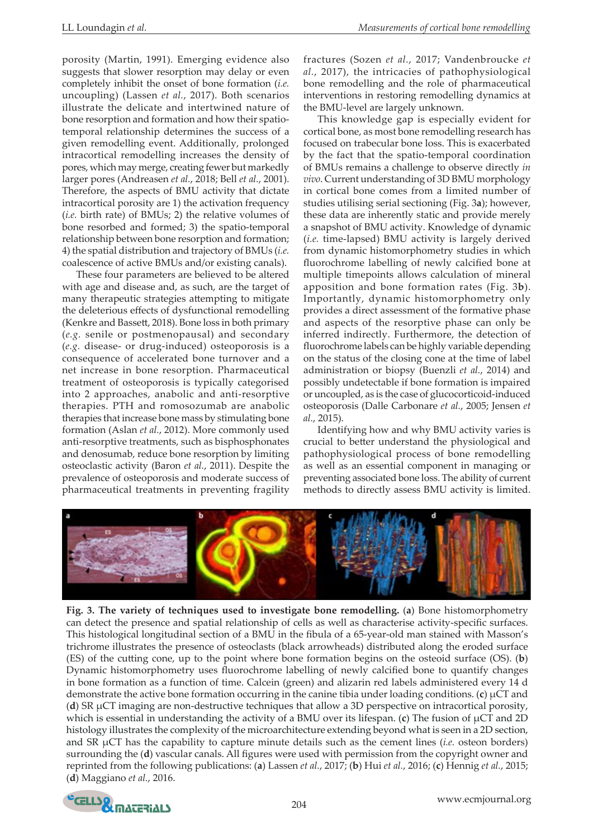porosity (Martin, 1991). Emerging evidence also suggests that slower resorption may delay or even completely inhibit the onset of bone formation (*i.e.* uncoupling) (Lassen *et al.*, 2017). Both scenarios illustrate the delicate and intertwined nature of bone resorption and formation and how their spatiotemporal relationship determines the success of a given remodelling event. Additionally, prolonged intracortical remodelling increases the density of pores, which may merge, creating fewer but markedly larger pores (Andreasen *et al.*, 2018; Bell *et al.*, 2001). Therefore, the aspects of BMU activity that dictate intracortical porosity are 1) the activation frequency (*i.e.* birth rate) of BMUs; 2) the relative volumes of bone resorbed and formed; 3) the spatio-temporal relationship between bone resorption and formation; 4) the spatial distribution and trajectory of BMUs (*i.e.* coalescence of active BMUs and/or existing canals).

These four parameters are believed to be altered with age and disease and, as such, are the target of many therapeutic strategies attempting to mitigate the deleterious effects of dysfunctional remodelling (Kenkre and Bassett, 2018). Bone loss in both primary (*e.g.* senile or postmenopausal) and secondary (*e.g.* disease- or drug-induced) osteoporosis is a consequence of accelerated bone turnover and a net increase in bone resorption. Pharmaceutical treatment of osteoporosis is typically categorised into 2 approaches, anabolic and anti-resorptive therapies. PTH and romosozumab are anabolic therapies that increase bone mass by stimulating bone formation (Aslan *et al.*, 2012). More commonly used anti-resorptive treatments, such as bisphosphonates and denosumab, reduce bone resorption by limiting osteoclastic activity (Baron *et al.*, 2011). Despite the prevalence of osteoporosis and moderate success of pharmaceutical treatments in preventing fragility

fractures (Sozen *et al.*, 2017; Vandenbroucke *et al.*, 2017), the intricacies of pathophysiological bone remodelling and the role of pharmaceutical interventions in restoring remodelling dynamics at the BMU-level are largely unknown.

This knowledge gap is especially evident for cortical bone, as most bone remodelling research has focused on trabecular bone loss. This is exacerbated by the fact that the spatio-temporal coordination of BMUs remains a challenge to observe directly *in vivo*. Current understanding of 3D BMU morphology in cortical bone comes from a limited number of studies utilising serial sectioning (Fig. 3**a**); however, these data are inherently static and provide merely a snapshot of BMU activity. Knowledge of dynamic (*i.e.* time-lapsed) BMU activity is largely derived from dynamic histomorphometry studies in which fluorochrome labelling of newly calcified bone at multiple timepoints allows calculation of mineral apposition and bone formation rates (Fig. 3**b**). Importantly, dynamic histomorphometry only provides a direct assessment of the formative phase and aspects of the resorptive phase can only be inferred indirectly. Furthermore, the detection of fluorochrome labels can be highly variable depending on the status of the closing cone at the time of label administration or biopsy (Buenzli *et al.*, 2014) and possibly undetectable if bone formation is impaired or uncoupled, as is the case of glucocorticoid-induced osteoporosis (Dalle Carbonare *et al.*, 2005; Jensen *et al.*, 2015).

Identifying how and why BMU activity varies is crucial to better understand the physiological and pathophysiological process of bone remodelling as well as an essential component in managing or preventing associated bone loss. The ability of current methods to directly assess BMU activity is limited.



**Fig. 3. The variety of techniques used to investigate bone remodelling.** (**a**) Bone histomorphometry can detect the presence and spatial relationship of cells as well as characterise activity-specific surfaces. This histological longitudinal section of a BMU in the fibula of a 65-year-old man stained with Masson's trichrome illustrates the presence of osteoclasts (black arrowheads) distributed along the eroded surface (ES) of the cutting cone, up to the point where bone formation begins on the osteoid surface (OS). (**b**) Dynamic histomorphometry uses fluorochrome labelling of newly calcified bone to quantify changes in bone formation as a function of time. Calcein (green) and alizarin red labels administered every 14 d demonstrate the active bone formation occurring in the canine tibia under loading conditions.  $(c) \mu CT$  and (**d**) SR µCT imaging are non-destructive techniques that allow a 3D perspective on intracortical porosity, which is essential in understanding the activity of a BMU over its lifespan. (c) The fusion of  $\mu$ CT and 2D histology illustrates the complexity of the microarchitecture extending beyond what is seen in a 2D section, and SR µCT has the capability to capture minute details such as the cement lines (*i.e.* osteon borders) surrounding the (**d**) vascular canals. All figures were used with permission from the copyright owner and reprinted from the following publications: (**a**) Lassen *et al.*, 2017; (**b**) Hui *et al.*, 2016; (**c**) Hennig *et al.*, 2015; (**d**) Maggiano *et al.*, 2016.

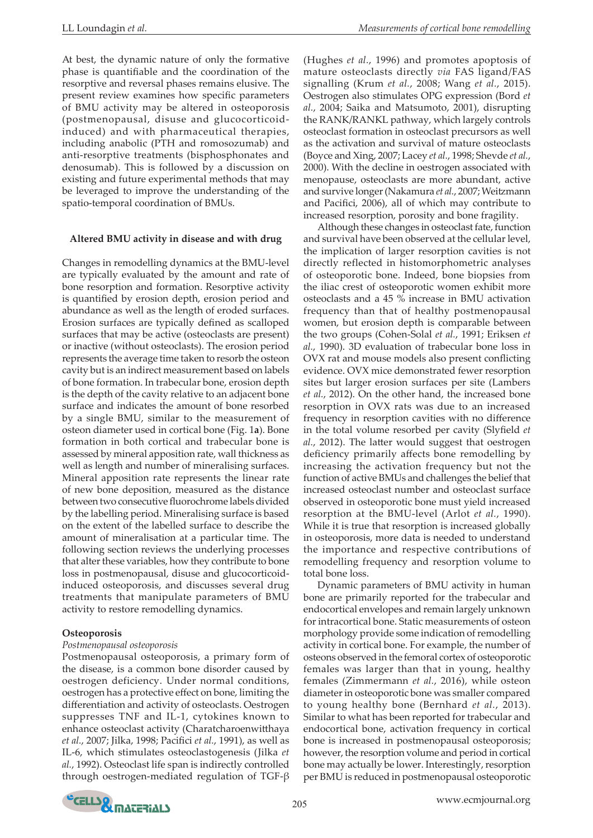At best, the dynamic nature of only the formative phase is quantifiable and the coordination of the resorptive and reversal phases remains elusive. The present review examines how specific parameters of BMU activity may be altered in osteoporosis (postmenopausal, disuse and glucocorticoidinduced) and with pharmaceutical therapies, including anabolic (PTH and romosozumab) and anti-resorptive treatments (bisphosphonates and denosumab). This is followed by a discussion on existing and future experimental methods that may be leveraged to improve the understanding of the spatio-temporal coordination of BMUs.

#### **Altered BMU activity in disease and with drug**

Changes in remodelling dynamics at the BMU-level are typically evaluated by the amount and rate of bone resorption and formation. Resorptive activity is quantified by erosion depth, erosion period and abundance as well as the length of eroded surfaces. Erosion surfaces are typically defined as scalloped surfaces that may be active (osteoclasts are present) or inactive (without osteoclasts). The erosion period represents the average time taken to resorb the osteon cavity but is an indirect measurement based on labels of bone formation. In trabecular bone, erosion depth is the depth of the cavity relative to an adjacent bone surface and indicates the amount of bone resorbed by a single BMU, similar to the measurement of osteon diameter used in cortical bone (Fig. 1**a**). Bone formation in both cortical and trabecular bone is assessed by mineral apposition rate, wall thickness as well as length and number of mineralising surfaces. Mineral apposition rate represents the linear rate of new bone deposition, measured as the distance between two consecutive fluorochrome labels divided by the labelling period. Mineralising surface is based on the extent of the labelled surface to describe the amount of mineralisation at a particular time. The following section reviews the underlying processes that alter these variables, how they contribute to bone loss in postmenopausal, disuse and glucocorticoidinduced osteoporosis, and discusses several drug treatments that manipulate parameters of BMU activity to restore remodelling dynamics.

#### **Osteoporosis**

#### *Postmenopausal osteoporosis*

Postmenopausal osteoporosis, a primary form of the disease, is a common bone disorder caused by oestrogen deficiency. Under normal conditions, oestrogen has a protective effect on bone, limiting the differentiation and activity of osteoclasts. Oestrogen suppresses TNF and IL-1, cytokines known to enhance osteoclast activity (Charatcharoenwitthaya *et al.*, 2007; Jilka, 1998; Pacifici *et al.*, 1991), as well as IL-6, which stimulates osteoclastogenesis (Jilka *et al.*, 1992). Osteoclast life span is indirectly controlled through oestrogen-mediated regulation of TGF-β

(Hughes *et al.*, 1996) and promotes apoptosis of mature osteoclasts directly *via* FAS ligand/FAS signalling (Krum *et al.*, 2008; Wang *et al.*, 2015). Oestrogen also stimulates OPG expression (Bord *et al.*, 2004; Saika and Matsumoto, 2001), disrupting the RANK/RANKL pathway, which largely controls osteoclast formation in osteoclast precursors as well as the activation and survival of mature osteoclasts (Boyce and Xing, 2007; Lacey *et al.*, 1998; Shevde *et al.*, 2000). With the decline in oestrogen associated with menopause, osteoclasts are more abundant, active and survive longer (Nakamura *et al.*, 2007; Weitzmann and Pacifici, 2006), all of which may contribute to increased resorption, porosity and bone fragility.

Although these changes in osteoclast fate, function and survival have been observed at the cellular level, the implication of larger resorption cavities is not directly reflected in histomorphometric analyses of osteoporotic bone. Indeed, bone biopsies from the iliac crest of osteoporotic women exhibit more osteoclasts and a 45 % increase in BMU activation frequency than that of healthy postmenopausal women, but erosion depth is comparable between the two groups (Cohen-Solal *et al.*, 1991; Eriksen *et al.*, 1990). 3D evaluation of trabecular bone loss in OVX rat and mouse models also present conflicting evidence. OVX mice demonstrated fewer resorption sites but larger erosion surfaces per site (Lambers *et al.*, 2012). On the other hand, the increased bone resorption in OVX rats was due to an increased frequency in resorption cavities with no difference in the total volume resorbed per cavity (Slyfield *et al.*, 2012). The latter would suggest that oestrogen deficiency primarily affects bone remodelling by increasing the activation frequency but not the function of active BMUs and challenges the belief that increased osteoclast number and osteoclast surface observed in osteoporotic bone must yield increased resorption at the BMU-level (Arlot *et al.*, 1990). While it is true that resorption is increased globally in osteoporosis, more data is needed to understand the importance and respective contributions of remodelling frequency and resorption volume to total bone loss.

Dynamic parameters of BMU activity in human bone are primarily reported for the trabecular and endocortical envelopes and remain largely unknown for intracortical bone. Static measurements of osteon morphology provide some indication of remodelling activity in cortical bone. For example, the number of osteons observed in the femoral cortex of osteoporotic females was larger than that in young, healthy females (Zimmermann *et al.*, 2016), while osteon diameter in osteoporotic bone was smaller compared to young healthy bone (Bernhard *et al.*, 2013). Similar to what has been reported for trabecular and endocortical bone, activation frequency in cortical bone is increased in postmenopausal osteoporosis; however, the resorption volume and period in cortical bone may actually be lower. Interestingly, resorption per BMU is reduced in postmenopausal osteoporotic

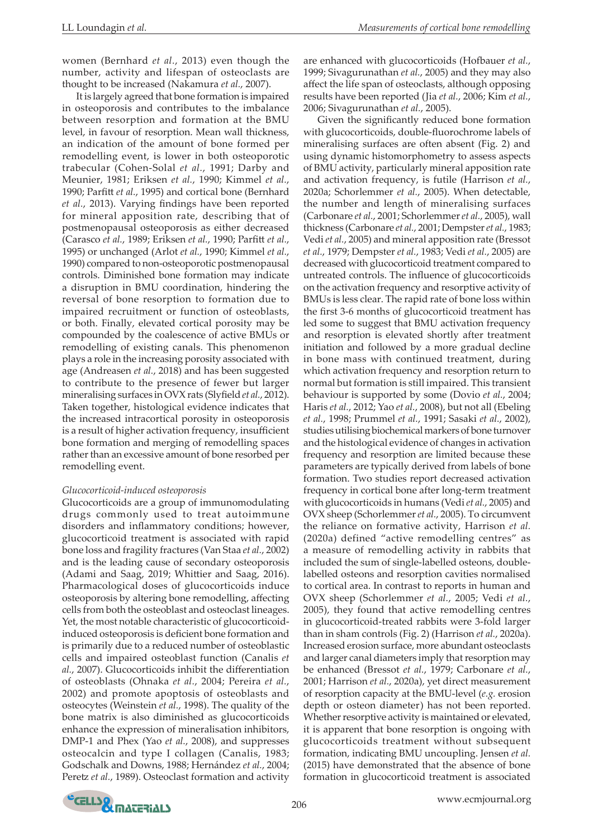women (Bernhard *et al.*, 2013) even though the number, activity and lifespan of osteoclasts are thought to be increased (Nakamura *et al.*, 2007).

It is largely agreed that bone formation is impaired in osteoporosis and contributes to the imbalance between resorption and formation at the BMU level, in favour of resorption. Mean wall thickness, an indication of the amount of bone formed per remodelling event, is lower in both osteoporotic trabecular (Cohen-Solal *et al.*, 1991; Darby and Meunier, 1981; Eriksen *et al.*, 1990; Kimmel *et al.*, 1990; Parfitt *et al.*, 1995) and cortical bone (Bernhard *et al.*, 2013). Varying findings have been reported for mineral apposition rate, describing that of postmenopausal osteoporosis as either decreased (Carasco *et al.*, 1989; Eriksen *et al.*, 1990; Parfitt *et al.*, 1995) or unchanged (Arlot *et al.*, 1990; Kimmel *et al.*, 1990) compared to non-osteoporotic postmenopausal controls. Diminished bone formation may indicate a disruption in BMU coordination, hindering the reversal of bone resorption to formation due to impaired recruitment or function of osteoblasts, or both. Finally, elevated cortical porosity may be compounded by the coalescence of active BMUs or remodelling of existing canals. This phenomenon plays a role in the increasing porosity associated with age (Andreasen *et al.*, 2018) and has been suggested to contribute to the presence of fewer but larger mineralising surfaces in OVX rats (Slyfield *et al.*, 2012). Taken together, histological evidence indicates that the increased intracortical porosity in osteoporosis is a result of higher activation frequency, insufficient bone formation and merging of remodelling spaces rather than an excessive amount of bone resorbed per remodelling event.

#### *Glucocorticoid-induced osteoporosis*

Glucocorticoids are a group of immunomodulating drugs commonly used to treat autoimmune disorders and inflammatory conditions; however, glucocorticoid treatment is associated with rapid bone loss and fragility fractures (Van Staa *et al.*, 2002) and is the leading cause of secondary osteoporosis (Adami and Saag, 2019; Whittier and Saag, 2016). Pharmacological doses of glucocorticoids induce osteoporosis by altering bone remodelling, affecting cells from both the osteoblast and osteoclast lineages. Yet, the most notable characteristic of glucocorticoidinduced osteoporosis is deficient bone formation and is primarily due to a reduced number of osteoblastic cells and impaired osteoblast function (Canalis *et al.*, 2007). Glucocorticoids inhibit the differentiation of osteoblasts (Ohnaka *et al.*, 2004; Pereira *et al.*, 2002) and promote apoptosis of osteoblasts and osteocytes (Weinstein *et al.*, 1998). The quality of the bone matrix is also diminished as glucocorticoids enhance the expression of mineralisation inhibitors, DMP-1 and Phex (Yao *et al.*, 2008), and suppresses osteocalcin and type I collagen (Canalis, 1983; Godschalk and Downs, 1988; Hernández *et al.*, 2004; Peretz *et al.*, 1989). Osteoclast formation and activity are enhanced with glucocorticoids (Hofbauer *et al.*, 1999; Sivagurunathan *et al.*, 2005) and they may also affect the life span of osteoclasts, although opposing results have been reported (Jia *et al.*, 2006; Kim *et al.*, 2006; Sivagurunathan *et al.*, 2005).

Given the significantly reduced bone formation with glucocorticoids, double-fluorochrome labels of mineralising surfaces are often absent (Fig. 2) and using dynamic histomorphometry to assess aspects of BMU activity, particularly mineral apposition rate and activation frequency, is futile (Harrison *et al.*, 2020a; Schorlemmer *et al.*, 2005). When detectable, the number and length of mineralising surfaces (Carbonare *et al.*, 2001; Schorlemmer *et al.*, 2005), wall thickness (Carbonare *et al.*, 2001; Dempster *et al.*, 1983; Vedi *et al.*, 2005) and mineral apposition rate (Bressot *et al.*, 1979; Dempster *et al.*, 1983; Vedi *et al.*, 2005) are decreased with glucocorticoid treatment compared to untreated controls. The influence of glucocorticoids on the activation frequency and resorptive activity of BMUs is less clear. The rapid rate of bone loss within the first 3-6 months of glucocorticoid treatment has led some to suggest that BMU activation frequency and resorption is elevated shortly after treatment initiation and followed by a more gradual decline in bone mass with continued treatment, during which activation frequency and resorption return to normal but formation is still impaired. This transient behaviour is supported by some (Dovio *et al.*, 2004; Haris *et al.*, 2012; Yao *et al.*, 2008), but not all (Ebeling *et al.*, 1998; Prummel *et al.*, 1991; Sasaki *et al.*, 2002), studies utilising biochemical markers of bone turnover and the histological evidence of changes in activation frequency and resorption are limited because these parameters are typically derived from labels of bone formation. Two studies report decreased activation frequency in cortical bone after long-term treatment with glucocorticoids in humans (Vedi *et al.*, 2005) and OVX sheep (Schorlemmer *et al.*, 2005). To circumvent the reliance on formative activity, Harrison *et al.* (2020a) defined "active remodelling centres" as a measure of remodelling activity in rabbits that included the sum of single-labelled osteons, doublelabelled osteons and resorption cavities normalised to cortical area. In contrast to reports in human and OVX sheep (Schorlemmer *et al.*, 2005; Vedi *et al.*, 2005), they found that active remodelling centres in glucocorticoid-treated rabbits were 3-fold larger than in sham controls (Fig. 2) (Harrison *et al.*, 2020a). Increased erosion surface, more abundant osteoclasts and larger canal diameters imply that resorption may be enhanced (Bressot *et al.*, 1979; Carbonare *et al.*, 2001; Harrison *et al.*, 2020a), yet direct measurement of resorption capacity at the BMU-level (*e.g.* erosion depth or osteon diameter) has not been reported. Whether resorptive activity is maintained or elevated, it is apparent that bone resorption is ongoing with glucocorticoids treatment without subsequent formation, indicating BMU uncoupling. Jensen *et al.* (2015) have demonstrated that the absence of bone formation in glucocorticoid treatment is associated

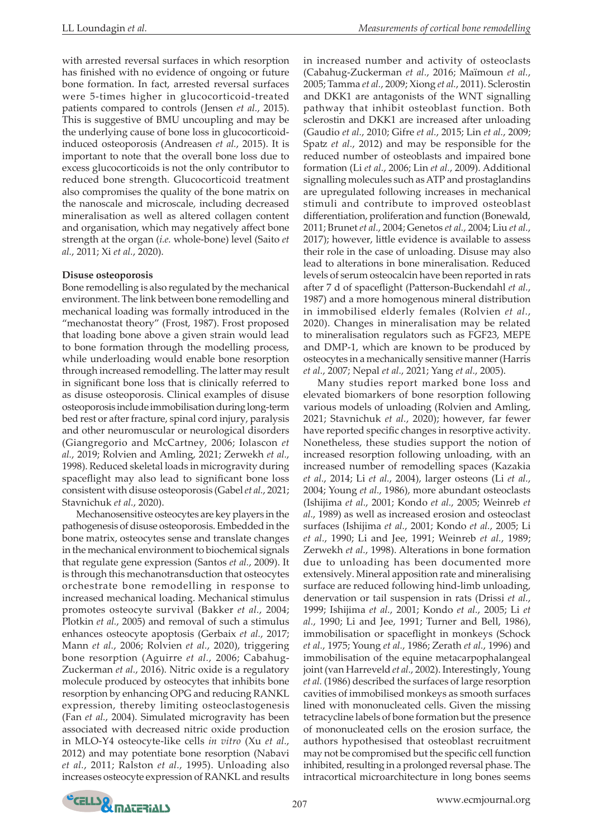with arrested reversal surfaces in which resorption has finished with no evidence of ongoing or future bone formation. In fact, arrested reversal surfaces were 5-times higher in glucocorticoid-treated patients compared to controls (Jensen *et al.*, 2015). This is suggestive of BMU uncoupling and may be the underlying cause of bone loss in glucocorticoidinduced osteoporosis (Andreasen *et al.*, 2015). It is important to note that the overall bone loss due to excess glucocorticoids is not the only contributor to reduced bone strength. Glucocorticoid treatment also compromises the quality of the bone matrix on the nanoscale and microscale, including decreased mineralisation as well as altered collagen content and organisation, which may negatively affect bone strength at the organ (*i.e.* whole-bone) level (Saito *et al.*, 2011; Xi *et al.*, 2020).

## **Disuse osteoporosis**

Bone remodelling is also regulated by the mechanical environment. The link between bone remodelling and mechanical loading was formally introduced in the "mechanostat theory" (Frost, 1987). Frost proposed that loading bone above a given strain would lead to bone formation through the modelling process, while underloading would enable bone resorption through increased remodelling. The latter may result in significant bone loss that is clinically referred to as disuse osteoporosis. Clinical examples of disuse osteoporosis include immobilisation during long-term bed rest or after fracture, spinal cord injury, paralysis and other neuromuscular or neurological disorders (Giangregorio and McCartney, 2006; Iolascon *et al.*, 2019; Rolvien and Amling, 2021; Zerwekh *et al.*, 1998). Reduced skeletal loads in microgravity during spaceflight may also lead to significant bone loss consistent with disuse osteoporosis (Gabel *et al.*, 2021; Stavnichuk *et al.*, 2020).

Mechanosensitive osteocytes are key players in the pathogenesis of disuse osteoporosis. Embedded in the bone matrix, osteocytes sense and translate changes in the mechanical environment to biochemical signals that regulate gene expression (Santos *et al.*, 2009). It is through this mechanotransduction that osteocytes orchestrate bone remodelling in response to increased mechanical loading. Mechanical stimulus promotes osteocyte survival (Bakker *et al.*, 2004; Plotkin *et al.*, 2005) and removal of such a stimulus enhances osteocyte apoptosis (Gerbaix *et al.*, 2017; Mann *et al.*, 2006; Rolvien *et al.*, 2020), triggering bone resorption (Aguirre *et al.*, 2006; Cabahug-Zuckerman *et al.*, 2016). Nitric oxide is a regulatory molecule produced by osteocytes that inhibits bone resorption by enhancing OPG and reducing RANKL expression, thereby limiting osteoclastogenesis (Fan *et al.*, 2004). Simulated microgravity has been associated with decreased nitric oxide production in MLO-Y4 osteocyte-like cells *in vitro* (Xu *et al.*, 2012) and may potentiate bone resorption (Nabavi *et al.*, 2011; Ralston *et al.*, 1995). Unloading also increases osteocyte expression of RANKL and results in increased number and activity of osteoclasts (Cabahug-Zuckerman *et al.*, 2016; Maïmoun *et al.*, 2005; Tamma *et al.*, 2009; Xiong *et al.*, 2011). Sclerostin and DKK1 are antagonists of the WNT signalling pathway that inhibit osteoblast function. Both sclerostin and DKK1 are increased after unloading (Gaudio *et al.*, 2010; Gifre *et al.*, 2015; Lin *et al.*, 2009; Spatz *et al.*, 2012) and may be responsible for the reduced number of osteoblasts and impaired bone formation (Li *et al.*, 2006; Lin *et al.*, 2009). Additional signalling molecules such as ATP and prostaglandins are upregulated following increases in mechanical stimuli and contribute to improved osteoblast differentiation, proliferation and function (Bonewald, 2011; Brunet *et al.*, 2004; Genetos *et al.*, 2004; Liu *et al.*, 2017); however, little evidence is available to assess their role in the case of unloading. Disuse may also lead to alterations in bone mineralisation. Reduced levels of serum osteocalcin have been reported in rats after 7 d of spaceflight (Patterson-Buckendahl *et al.*, 1987) and a more homogenous mineral distribution in immobilised elderly females (Rolvien *et al.*, 2020). Changes in mineralisation may be related to mineralisation regulators such as FGF23, MEPE and DMP-1, which are known to be produced by osteocytes in a mechanically sensitive manner (Harris *et al.*, 2007; Nepal *et al.*, 2021; Yang *et al.*, 2005).

Many studies report marked bone loss and elevated biomarkers of bone resorption following various models of unloading (Rolvien and Amling, 2021; Stavnichuk *et al.*, 2020); however, far fewer have reported specific changes in resorptive activity. Nonetheless, these studies support the notion of increased resorption following unloading, with an increased number of remodelling spaces (Kazakia *et al.*, 2014; Li *et al.*, 2004), larger osteons (Li *et al.*, 2004; Young *et al.*, 1986), more abundant osteoclasts (Ishijima *et al.*, 2001; Kondo *et al.*, 2005; Weinreb *et al.*, 1989) as well as increased erosion and osteoclast surfaces (Ishijima *et al.*, 2001; Kondo *et al.*, 2005; Li *et al.*, 1990; Li and Jee, 1991; Weinreb *et al.*, 1989; Zerwekh *et al.*, 1998). Alterations in bone formation due to unloading has been documented more extensively. Mineral apposition rate and mineralising surface are reduced following hind-limb unloading, denervation or tail suspension in rats (Drissi *et al.*, 1999; Ishijima *et al.*, 2001; Kondo *et al.*, 2005; Li *et al.*, 1990; Li and Jee, 1991; Turner and Bell, 1986), immobilisation or spaceflight in monkeys (Schock *et al.*, 1975; Young *et al.*, 1986; Zerath *et al.*, 1996) and immobilisation of the equine metacarpophalangeal joint (van Harreveld *et al.*, 2002). Interestingly, Young *et al.* (1986) described the surfaces of large resorption cavities of immobilised monkeys as smooth surfaces lined with mononucleated cells. Given the missing tetracycline labels of bone formation but the presence of mononucleated cells on the erosion surface, the authors hypothesised that osteoblast recruitment may not be compromised but the specific cell function inhibited, resulting in a prolonged reversal phase. The intracortical microarchitecture in long bones seems

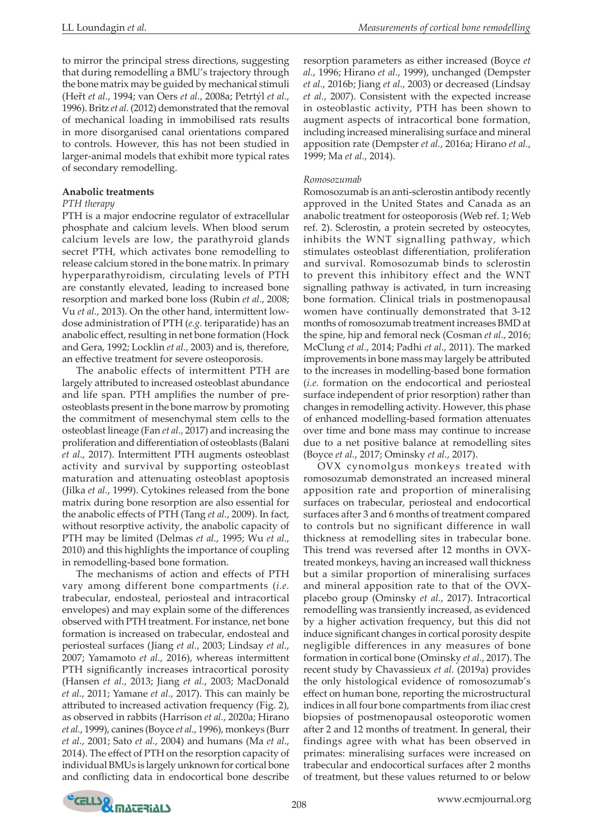to mirror the principal stress directions, suggesting that during remodelling a BMU's trajectory through the bone matrix may be guided by mechanical stimuli (Heřt *et al.*, 1994; van Oers *et al.*, 2008a; Petrtýl *et al.*, 1996). Britz *et al.* (2012) demonstrated that the removal of mechanical loading in immobilised rats results in more disorganised canal orientations compared to controls. However, this has not been studied in larger-animal models that exhibit more typical rates of secondary remodelling.

#### **Anabolic treatments**

#### *PTH therapy*

PTH is a major endocrine regulator of extracellular phosphate and calcium levels. When blood serum calcium levels are low, the parathyroid glands secret PTH, which activates bone remodelling to release calcium stored in the bone matrix. In primary hyperparathyroidism, circulating levels of PTH are constantly elevated, leading to increased bone resorption and marked bone loss (Rubin *et al.*, 2008; Vu *et al.*, 2013). On the other hand, intermittent lowdose administration of PTH (*e.g.* teriparatide) has an anabolic effect, resulting in net bone formation (Hock and Gera, 1992; Locklin *et al.*, 2003) and is, therefore, an effective treatment for severe osteoporosis.

The anabolic effects of intermittent PTH are largely attributed to increased osteoblast abundance and life span. PTH amplifies the number of preosteoblasts present in the bone marrow by promoting the commitment of mesenchymal stem cells to the osteoblast lineage (Fan *et al.*, 2017) and increasing the proliferation and differentiation of osteoblasts (Balani *et al.*, 2017). Intermittent PTH augments osteoblast activity and survival by supporting osteoblast maturation and attenuating osteoblast apoptosis (Jilka *et al.*, 1999). Cytokines released from the bone matrix during bone resorption are also essential for the anabolic effects of PTH (Tang *et al.*, 2009). In fact, without resorptive activity, the anabolic capacity of PTH may be limited (Delmas *et al.*, 1995; Wu *et al.*, 2010) and this highlights the importance of coupling in remodelling-based bone formation.

The mechanisms of action and effects of PTH vary among different bone compartments (*i.e.* trabecular, endosteal, periosteal and intracortical envelopes) and may explain some of the differences observed with PTH treatment. For instance, net bone formation is increased on trabecular, endosteal and periosteal surfaces (Jiang *et al.*, 2003; Lindsay *et al.*, 2007; Yamamoto *et al.*, 2016), whereas intermittent PTH significantly increases intracortical porosity (Hansen *et al.*, 2013; Jiang *et al.*, 2003; MacDonald *et al.*, 2011; Yamane *et al.*, 2017). This can mainly be attributed to increased activation frequency (Fig. 2), as observed in rabbits (Harrison *et al.*, 2020a; Hirano *et al.*, 1999), canines (Boyce *et al.*, 1996), monkeys (Burr *et al.*, 2001; Sato *et al.*, 2004) and humans (Ma *et al.*, 2014). The effect of PTH on the resorption capacity of individual BMUs is largely unknown for cortical bone and conflicting data in endocortical bone describe resorption parameters as either increased (Boyce *et al.*, 1996; Hirano *et al.*, 1999), unchanged (Dempster *et al.*, 2016b; Jiang *et al.*, 2003) or decreased (Lindsay *et al.*, 2007). Consistent with the expected increase in osteoblastic activity, PTH has been shown to augment aspects of intracortical bone formation, including increased mineralising surface and mineral apposition rate (Dempster *et al.*, 2016a; Hirano *et al.*, 1999; Ma *et al.*, 2014).

#### *Romosozumab*

Romosozumab is an anti-sclerostin antibody recently approved in the United States and Canada as an anabolic treatment for osteoporosis (Web ref. 1; Web ref. 2). Sclerostin, a protein secreted by osteocytes, inhibits the WNT signalling pathway, which stimulates osteoblast differentiation, proliferation and survival. Romosozumab binds to sclerostin to prevent this inhibitory effect and the WNT signalling pathway is activated, in turn increasing bone formation. Clinical trials in postmenopausal women have continually demonstrated that 3-12 months of romosozumab treatment increases BMD at the spine, hip and femoral neck (Cosman *et al.*, 2016; McClung *et al.*, 2014; Padhi *et al.*, 2011). The marked improvements in bone mass may largely be attributed to the increases in modelling-based bone formation (*i.e.* formation on the endocortical and periosteal surface independent of prior resorption) rather than changes in remodelling activity. However, this phase of enhanced modelling-based formation attenuates over time and bone mass may continue to increase due to a net positive balance at remodelling sites (Boyce *et al.*, 2017; Ominsky *et al.*, 2017).

OVX cynomolgus monkeys treated with romosozumab demonstrated an increased mineral apposition rate and proportion of mineralising surfaces on trabecular, periosteal and endocortical surfaces after 3 and 6 months of treatment compared to controls but no significant difference in wall thickness at remodelling sites in trabecular bone. This trend was reversed after 12 months in OVXtreated monkeys, having an increased wall thickness but a similar proportion of mineralising surfaces and mineral apposition rate to that of the OVXplacebo group (Ominsky *et al.*, 2017). Intracortical remodelling was transiently increased, as evidenced by a higher activation frequency, but this did not induce significant changes in cortical porosity despite negligible differences in any measures of bone formation in cortical bone (Ominsky *et al.*, 2017). The recent study by Chavassieux *et al.* (2019a) provides the only histological evidence of romosozumab's effect on human bone, reporting the microstructural indices in all four bone compartments from iliac crest biopsies of postmenopausal osteoporotic women after 2 and 12 months of treatment. In general, their findings agree with what has been observed in primates: mineralising surfaces were increased on trabecular and endocortical surfaces after 2 months of treatment, but these values returned to or below

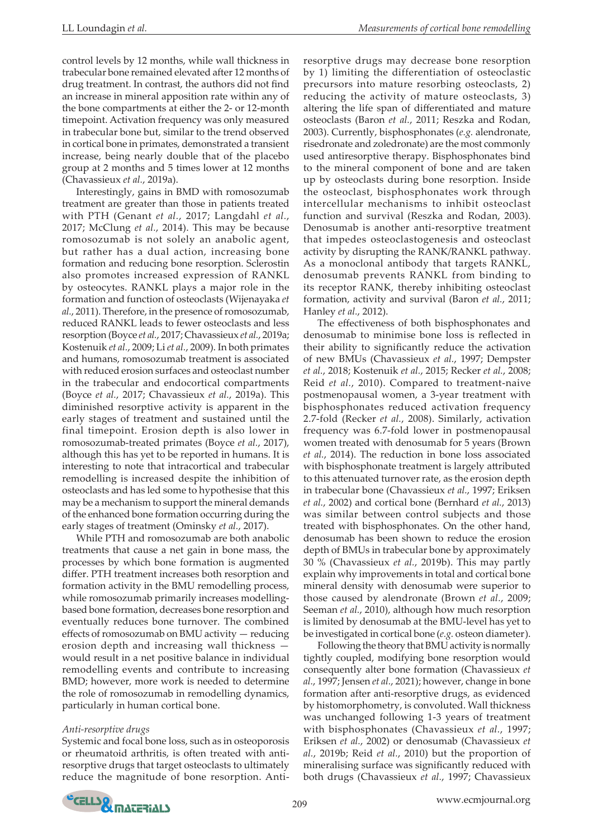control levels by 12 months, while wall thickness in trabecular bone remained elevated after 12 months of drug treatment. In contrast, the authors did not find an increase in mineral apposition rate within any of the bone compartments at either the 2- or 12-month timepoint. Activation frequency was only measured in trabecular bone but, similar to the trend observed in cortical bone in primates, demonstrated a transient increase, being nearly double that of the placebo group at 2 months and 5 times lower at 12 months (Chavassieux *et al.*, 2019a).

Interestingly, gains in BMD with romosozumab treatment are greater than those in patients treated with PTH (Genant *et al.*, 2017; Langdahl *et al.*, 2017; McClung *et al.*, 2014). This may be because romosozumab is not solely an anabolic agent, but rather has a dual action, increasing bone formation and reducing bone resorption. Sclerostin also promotes increased expression of RANKL by osteocytes. RANKL plays a major role in the formation and function of osteoclasts (Wijenayaka *et al.*, 2011). Therefore, in the presence of romosozumab, reduced RANKL leads to fewer osteoclasts and less resorption (Boyce *et al.*, 2017; Chavassieux *et al.*, 2019a; Kostenuik *et al.*, 2009; Li *et al.*, 2009). In both primates and humans, romosozumab treatment is associated with reduced erosion surfaces and osteoclast number in the trabecular and endocortical compartments (Boyce *et al.*, 2017; Chavassieux *et al.*, 2019a). This diminished resorptive activity is apparent in the early stages of treatment and sustained until the final timepoint. Erosion depth is also lower in romosozumab-treated primates (Boyce *et al.*, 2017), although this has yet to be reported in humans. It is interesting to note that intracortical and trabecular remodelling is increased despite the inhibition of osteoclasts and has led some to hypothesise that this may be a mechanism to support the mineral demands of the enhanced bone formation occurring during the early stages of treatment (Ominsky *et al.*, 2017).

While PTH and romosozumab are both anabolic treatments that cause a net gain in bone mass, the processes by which bone formation is augmented differ. PTH treatment increases both resorption and formation activity in the BMU remodelling process, while romosozumab primarily increases modellingbased bone formation, decreases bone resorption and eventually reduces bone turnover. The combined effects of romosozumab on BMU activity — reducing erosion depth and increasing wall thickness would result in a net positive balance in individual remodelling events and contribute to increasing BMD; however, more work is needed to determine the role of romosozumab in remodelling dynamics, particularly in human cortical bone.

#### *Anti-resorptive drugs*

Systemic and focal bone loss, such as in osteoporosis or rheumatoid arthritis, is often treated with antiresorptive drugs that target osteoclasts to ultimately reduce the magnitude of bone resorption. Antiresorptive drugs may decrease bone resorption by 1) limiting the differentiation of osteoclastic precursors into mature resorbing osteoclasts, 2) reducing the activity of mature osteoclasts, 3) altering the life span of differentiated and mature osteoclasts (Baron *et al.*, 2011; Reszka and Rodan, 2003). Currently, bisphosphonates (*e.g.* alendronate, risedronate and zoledronate) are the most commonly used antiresorptive therapy. Bisphosphonates bind to the mineral component of bone and are taken up by osteoclasts during bone resorption. Inside the osteoclast, bisphosphonates work through intercellular mechanisms to inhibit osteoclast function and survival (Reszka and Rodan, 2003). Denosumab is another anti-resorptive treatment that impedes osteoclastogenesis and osteoclast activity by disrupting the RANK/RANKL pathway. As a monoclonal antibody that targets RANKL, denosumab prevents RANKL from binding to its receptor RANK, thereby inhibiting osteoclast formation, activity and survival (Baron *et al.*, 2011; Hanley *et al.*, 2012).

The effectiveness of both bisphosphonates and denosumab to minimise bone loss is reflected in their ability to significantly reduce the activation of new BMUs (Chavassieux *et al.*, 1997; Dempster *et al.*, 2018; Kostenuik *et al.*, 2015; Recker *et al.*, 2008; Reid *et al.*, 2010). Compared to treatment-naive postmenopausal women, a 3-year treatment with bisphosphonates reduced activation frequency 2.7-fold (Recker *et al.*, 2008). Similarly, activation frequency was 6.7-fold lower in postmenopausal women treated with denosumab for 5 years (Brown *et al.*, 2014). The reduction in bone loss associated with bisphosphonate treatment is largely attributed to this attenuated turnover rate, as the erosion depth in trabecular bone (Chavassieux *et al.*, 1997; Eriksen *et al.*, 2002) and cortical bone (Bernhard *et al.*, 2013) was similar between control subjects and those treated with bisphosphonates. On the other hand, denosumab has been shown to reduce the erosion depth of BMUs in trabecular bone by approximately 30 % (Chavassieux *et al.*, 2019b). This may partly explain why improvements in total and cortical bone mineral density with denosumab were superior to those caused by alendronate (Brown *et al.*, 2009; Seeman *et al.*, 2010), although how much resorption is limited by denosumab at the BMU-level has yet to be investigated in cortical bone (*e.g.* osteon diameter).

Following the theory that BMU activity is normally tightly coupled, modifying bone resorption would consequently alter bone formation (Chavassieux *et al.*, 1997; Jensen *et al.*, 2021); however, change in bone formation after anti-resorptive drugs, as evidenced by histomorphometry, is convoluted. Wall thickness was unchanged following 1-3 years of treatment with bisphosphonates (Chavassieux *et al.*, 1997; Eriksen *et al.*, 2002) or denosumab (Chavassieux *et al.*, 2019b; Reid *et al.*, 2010) but the proportion of mineralising surface was significantly reduced with both drugs (Chavassieux *et al.*, 1997; Chavassieux

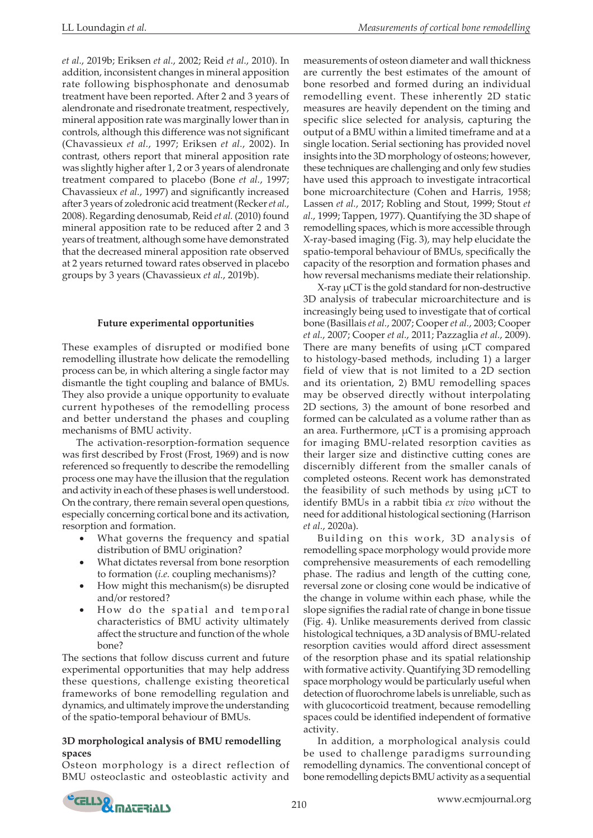*et al.*, 2019b; Eriksen *et al.*, 2002; Reid *et al.*, 2010). In addition, inconsistent changes in mineral apposition rate following bisphosphonate and denosumab treatment have been reported. After 2 and 3 years of alendronate and risedronate treatment, respectively, mineral apposition rate was marginally lower than in controls, although this difference was not significant (Chavassieux *et al.*, 1997; Eriksen *et al.*, 2002). In contrast, others report that mineral apposition rate was slightly higher after 1, 2 or 3 years of alendronate treatment compared to placebo (Bone *et al.*, 1997; Chavassieux *et al.*, 1997) and significantly increased after 3 years of zoledronic acid treatment (Recker *et al.*, 2008). Regarding denosumab, Reid *et al.* (2010) found mineral apposition rate to be reduced after 2 and 3 years of treatment, although some have demonstrated that the decreased mineral apposition rate observed at 2 years returned toward rates observed in placebo groups by 3 years (Chavassieux *et al.*, 2019b).

## **Future experimental opportunities**

These examples of disrupted or modified bone remodelling illustrate how delicate the remodelling process can be, in which altering a single factor may dismantle the tight coupling and balance of BMUs. They also provide a unique opportunity to evaluate current hypotheses of the remodelling process and better understand the phases and coupling mechanisms of BMU activity.

The activation-resorption-formation sequence was first described by Frost (Frost, 1969) and is now referenced so frequently to describe the remodelling process one may have the illusion that the regulation and activity in each of these phases is well understood. On the contrary, there remain several open questions, especially concerning cortical bone and its activation, resorption and formation.

- What governs the frequency and spatial distribution of BMU origination?
- What dictates reversal from bone resorption to formation (*i.e.* coupling mechanisms)?
- How might this mechanism $(s)$  be disrupted and/or restored?
- How do the spatial and temporal characteristics of BMU activity ultimately affect the structure and function of the whole bone?

The sections that follow discuss current and future experimental opportunities that may help address these questions, challenge existing theoretical frameworks of bone remodelling regulation and dynamics, and ultimately improve the understanding of the spatio-temporal behaviour of BMUs.

## **3D morphological analysis of BMU remodelling spaces**

Osteon morphology is a direct reflection of BMU osteoclastic and osteoblastic activity and measurements of osteon diameter and wall thickness are currently the best estimates of the amount of bone resorbed and formed during an individual remodelling event. These inherently 2D static measures are heavily dependent on the timing and specific slice selected for analysis, capturing the output of a BMU within a limited timeframe and at a single location. Serial sectioning has provided novel insights into the 3D morphology of osteons; however, these techniques are challenging and only few studies have used this approach to investigate intracortical bone microarchitecture (Cohen and Harris, 1958; Lassen *et al.*, 2017; Robling and Stout, 1999; Stout *et al.*, 1999; Tappen, 1977). Quantifying the 3D shape of remodelling spaces, which is more accessible through X-ray-based imaging (Fig. 3), may help elucidate the spatio-temporal behaviour of BMUs, specifically the capacity of the resorption and formation phases and how reversal mechanisms mediate their relationship.

X-ray µCT is the gold standard for non-destructive 3D analysis of trabecular microarchitecture and is increasingly being used to investigate that of cortical bone (Basillais *et al.*, 2007; Cooper *et al.*, 2003; Cooper *et al.*, 2007; Cooper *et al.*, 2011; Pazzaglia *et al.*, 2009). There are many benefits of using  $\mu$ CT compared to histology-based methods, including 1) a larger field of view that is not limited to a 2D section and its orientation, 2) BMU remodelling spaces may be observed directly without interpolating 2D sections, 3) the amount of bone resorbed and formed can be calculated as a volume rather than as an area. Furthermore, µCT is a promising approach for imaging BMU-related resorption cavities as their larger size and distinctive cutting cones are discernibly different from the smaller canals of completed osteons. Recent work has demonstrated the feasibility of such methods by using µCT to identify BMUs in a rabbit tibia *ex vivo* without the need for additional histological sectioning (Harrison *et al.*, 2020a).

Building on this work, 3D analysis of remodelling space morphology would provide more comprehensive measurements of each remodelling phase. The radius and length of the cutting cone, reversal zone or closing cone would be indicative of the change in volume within each phase, while the slope signifies the radial rate of change in bone tissue (Fig. 4). Unlike measurements derived from classic histological techniques, a 3D analysis of BMU-related resorption cavities would afford direct assessment of the resorption phase and its spatial relationship with formative activity. Quantifying 3D remodelling space morphology would be particularly useful when detection of fluorochrome labels is unreliable, such as with glucocorticoid treatment, because remodelling spaces could be identified independent of formative activity.

In addition, a morphological analysis could be used to challenge paradigms surrounding remodelling dynamics. The conventional concept of bone remodelling depicts BMU activity as a sequential

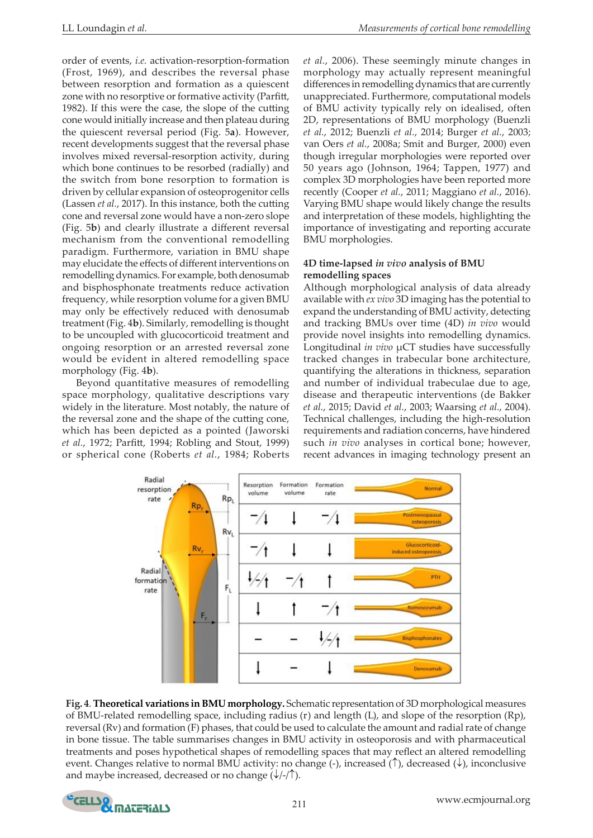order of events, *i.e.* activation-resorption-formation (Frost, 1969), and describes the reversal phase between resorption and formation as a quiescent zone with no resorptive or formative activity (Parfitt, 1982). If this were the case, the slope of the cutting cone would initially increase and then plateau during the quiescent reversal period (Fig. 5**a**). However, recent developments suggest that the reversal phase involves mixed reversal-resorption activity, during which bone continues to be resorbed (radially) and the switch from bone resorption to formation is driven by cellular expansion of osteoprogenitor cells (Lassen *et al.*, 2017). In this instance, both the cutting cone and reversal zone would have a non-zero slope (Fig. 5**b**) and clearly illustrate a different reversal mechanism from the conventional remodelling paradigm. Furthermore, variation in BMU shape may elucidate the effects of different interventions on remodelling dynamics. For example, both denosumab and bisphosphonate treatments reduce activation frequency, while resorption volume for a given BMU may only be effectively reduced with denosumab treatment (Fig. 4**b**). Similarly, remodelling is thought to be uncoupled with glucocorticoid treatment and ongoing resorption or an arrested reversal zone would be evident in altered remodelling space morphology (Fig. 4**b**).

Beyond quantitative measures of remodelling space morphology, qualitative descriptions vary widely in the literature. Most notably, the nature of the reversal zone and the shape of the cutting cone, which has been depicted as a pointed (Jaworski *et al.*, 1972; Parfitt, 1994; Robling and Stout, 1999) or spherical cone (Roberts *et al.*, 1984; Roberts

*et al.*, 2006). These seemingly minute changes in morphology may actually represent meaningful differences in remodelling dynamics that are currently unappreciated. Furthermore, computational models of BMU activity typically rely on idealised, often 2D, representations of BMU morphology (Buenzli *et al.*, 2012; Buenzli *et al.*, 2014; Burger *et al.*, 2003; van Oers *et al.*, 2008a; Smit and Burger, 2000) even though irregular morphologies were reported over 50 years ago (Johnson, 1964; Tappen, 1977) and complex 3D morphologies have been reported more recently (Cooper *et al.*, 2011; Maggiano *et al.*, 2016). Varying BMU shape would likely change the results and interpretation of these models, highlighting the importance of investigating and reporting accurate BMU morphologies.

# **4D time-lapsed** *in vivo* **analysis of BMU remodelling spaces**

Although morphological analysis of data already available with *ex vivo* 3D imaging has the potential to expand the understanding of BMU activity, detecting and tracking BMUs over time (4D) *in vivo* would provide novel insights into remodelling dynamics. Longitudinal *in vivo* µCT studies have successfully tracked changes in trabecular bone architecture, quantifying the alterations in thickness, separation and number of individual trabeculae due to age, disease and therapeutic interventions (de Bakker *et al.*, 2015; David *et al.*, 2003; Waarsing *et al.*, 2004). Technical challenges, including the high-resolution requirements and radiation concerns, have hindered such *in vivo* analyses in cortical bone; however, recent advances in imaging technology present an



**Fig. 4**. **Theoretical variations in BMU morphology.** Schematic representation of 3D morphological measures of BMU-related remodelling space, including radius (r) and length (L), and slope of the resorption (Rp), reversal (Rv) and formation (F) phases, that could be used to calculate the amount and radial rate of change in bone tissue. The table summarises changes in BMU activity in osteoporosis and with pharmaceutical treatments and poses hypothetical shapes of remodelling spaces that may reflect an altered remodelling event. Changes relative to normal BMU activity: no change (-), increased (↑), decreased (↓), inconclusive and maybe increased, decreased or no change  $(\sqrt{1-\pi})$ .

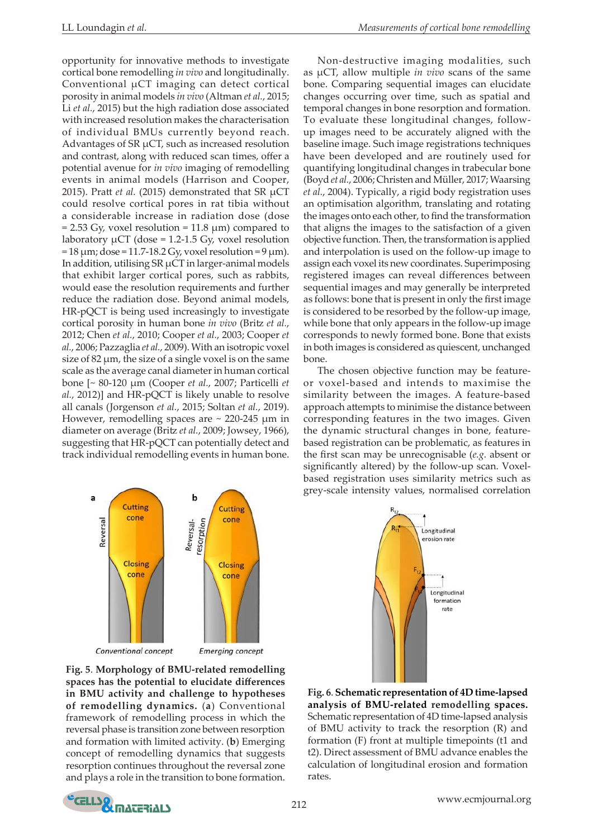opportunity for innovative methods to investigate cortical bone remodelling *in vivo* and longitudinally. Conventional µCT imaging can detect cortical porosity in animal models *in vivo* (Altman *et al.*, 2015; Li *et al.*, 2015) but the high radiation dose associated with increased resolution makes the characterisation of individual BMUs currently beyond reach. Advantages of SR µCT, such as increased resolution and contrast, along with reduced scan times, offer a potential avenue for *in vivo* imaging of remodelling events in animal models (Harrison and Cooper, 2015). Pratt *et al.* (2015) demonstrated that SR µCT could resolve cortical pores in rat tibia without a considerable increase in radiation dose (dose  $= 2.53$  Gy, voxel resolution  $= 11.8$  µm) compared to laboratory  $\mu$ CT (dose = 1.2-1.5 Gy, voxel resolution  $= 18 \mu m$ ; dose  $= 11.7$ -18.2 Gy, voxel resolution  $= 9 \mu m$ ). In addition, utilising  $SR \mu CT$  in larger-animal models that exhibit larger cortical pores, such as rabbits, would ease the resolution requirements and further reduce the radiation dose. Beyond animal models, HR-pQCT is being used increasingly to investigate cortical porosity in human bone *in vivo* (Britz *et al.*, 2012; Chen *et al.*, 2010; Cooper *et al.*, 2003; Cooper *et al.*, 2006; Pazzaglia *et al.*, 2009). With an isotropic voxel size of  $82 \mu m$ , the size of a single voxel is on the same scale as the average canal diameter in human cortical bone [~ 80-120 µm (Cooper *et al.*, 2007; Particelli *et al.*, 2012)] and HR-pQCT is likely unable to resolve all canals (Jorgenson *et al.*, 2015; Soltan *et al.*, 2019). However, remodelling spaces are  $\sim$  220-245  $\mu$ m in diameter on average (Britz *et al.*, 2009; Jowsey, 1966), suggesting that HR-pQCT can potentially detect and track individual remodelling events in human bone.



**Fig. 5**. **Morphology of BMU-related remodelling spaces has the potential to elucidate differences in BMU activity and challenge to hypotheses of remodelling dynamics.** (**a**) Conventional framework of remodelling process in which the reversal phase is transition zone between resorption and formation with limited activity. (**b**) Emerging concept of remodelling dynamics that suggests resorption continues throughout the reversal zone and plays a role in the transition to bone formation.

Non-destructive imaging modalities, such as µCT, allow multiple *in vivo* scans of the same bone. Comparing sequential images can elucidate changes occurring over time, such as spatial and temporal changes in bone resorption and formation. To evaluate these longitudinal changes, followup images need to be accurately aligned with the baseline image. Such image registrations techniques have been developed and are routinely used for quantifying longitudinal changes in trabecular bone (Boyd *et al.*, 2006; Christen and Müller, 2017; Waarsing *et al.*, 2004). Typically, a rigid body registration uses an optimisation algorithm, translating and rotating the images onto each other, to find the transformation that aligns the images to the satisfaction of a given objective function. Then, the transformation is applied and interpolation is used on the follow-up image to assign each voxel its new coordinates. Superimposing registered images can reveal differences between sequential images and may generally be interpreted as follows: bone that is present in only the first image is considered to be resorbed by the follow-up image, while bone that only appears in the follow-up image corresponds to newly formed bone. Bone that exists in both images is considered as quiescent, unchanged bone.

The chosen objective function may be featureor voxel-based and intends to maximise the similarity between the images. A feature-based approach attempts to minimise the distance between corresponding features in the two images. Given the dynamic structural changes in bone, featurebased registration can be problematic, as features in the first scan may be unrecognisable (*e.g.* absent or significantly altered) by the follow-up scan. Voxelbased registration uses similarity metrics such as grey-scale intensity values, normalised correlation



**Fig. 6**. **Schematic representation of 4D time-lapsed analysis of BMU-related remodelling spaces.**  Schematic representation of 4D time-lapsed analysis of BMU activity to track the resorption (R) and formation (F) front at multiple timepoints (t1 and t2). Direct assessment of BMU advance enables the calculation of longitudinal erosion and formation rates.

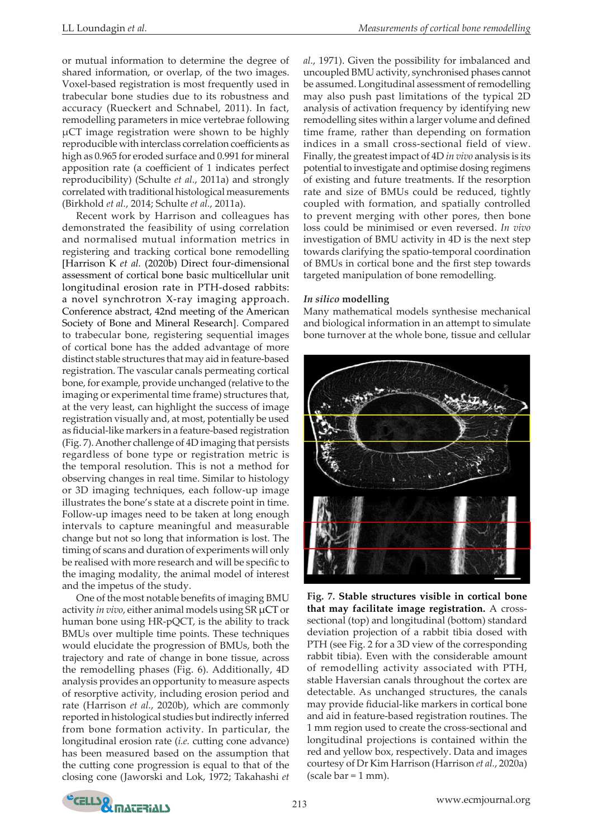or mutual information to determine the degree of shared information, or overlap, of the two images. Voxel-based registration is most frequently used in trabecular bone studies due to its robustness and accuracy (Rueckert and Schnabel, 2011). In fact, remodelling parameters in mice vertebrae following µCT image registration were shown to be highly reproducible with interclass correlation coefficients as high as 0.965 for eroded surface and 0.991 for mineral apposition rate (a coefficient of 1 indicates perfect reproducibility) (Schulte *et al.*, 2011a) and strongly correlated with traditional histological measurements (Birkhold *et al.*, 2014; Schulte *et al.*, 2011a).

Recent work by Harrison and colleagues has demonstrated the feasibility of using correlation and normalised mutual information metrics in registering and tracking cortical bone remodelling [Harrison K *et al.* (2020b) Direct four-dimensional assessment of cortical bone basic multicellular unit longitudinal erosion rate in PTH-dosed rabbits: a novel synchrotron X-ray imaging approach. Conference abstract, 42nd meeting of the American Society of Bone and Mineral Research]. Compared to trabecular bone, registering sequential images of cortical bone has the added advantage of more distinct stable structures that may aid in feature-based registration. The vascular canals permeating cortical bone, for example, provide unchanged (relative to the imaging or experimental time frame) structures that, at the very least, can highlight the success of image registration visually and, at most, potentially be used as fiducial-like markers in a feature-based registration (Fig. 7). Another challenge of 4D imaging that persists regardless of bone type or registration metric is the temporal resolution. This is not a method for observing changes in real time. Similar to histology or 3D imaging techniques, each follow-up image illustrates the bone's state at a discrete point in time. Follow-up images need to be taken at long enough intervals to capture meaningful and measurable change but not so long that information is lost. The timing of scans and duration of experiments will only be realised with more research and will be specific to the imaging modality, the animal model of interest and the impetus of the study.

One of the most notable benefits of imaging BMU activity *in vivo*, either animal models using SR µCT or human bone using HR-pQCT, is the ability to track BMUs over multiple time points. These techniques would elucidate the progression of BMUs, both the trajectory and rate of change in bone tissue, across the remodelling phases (Fig. 6). Additionally, 4D analysis provides an opportunity to measure aspects of resorptive activity, including erosion period and rate (Harrison *et al.*, 2020b), which are commonly reported in histological studies but indirectly inferred from bone formation activity. In particular, the longitudinal erosion rate (*i.e.* cutting cone advance) has been measured based on the assumption that the cutting cone progression is equal to that of the closing cone (Jaworski and Lok, 1972; Takahashi *et* 

*al.*, 1971). Given the possibility for imbalanced and uncoupled BMU activity, synchronised phases cannot be assumed. Longitudinal assessment of remodelling may also push past limitations of the typical 2D analysis of activation frequency by identifying new remodelling sites within a larger volume and defined time frame, rather than depending on formation indices in a small cross-sectional field of view. Finally, the greatest impact of 4D *in vivo* analysis is its potential to investigate and optimise dosing regimens of existing and future treatments. If the resorption rate and size of BMUs could be reduced, tightly coupled with formation, and spatially controlled to prevent merging with other pores, then bone loss could be minimised or even reversed. *In vivo* investigation of BMU activity in 4D is the next step towards clarifying the spatio-temporal coordination of BMUs in cortical bone and the first step towards targeted manipulation of bone remodelling.

#### *In silico* **modelling**

Many mathematical models synthesise mechanical and biological information in an attempt to simulate bone turnover at the whole bone, tissue and cellular



**Fig. 7. Stable structures visible in cortical bone that may facilitate image registration.** A crosssectional (top) and longitudinal (bottom) standard deviation projection of a rabbit tibia dosed with PTH (see Fig. 2 for a 3D view of the corresponding rabbit tibia). Even with the considerable amount of remodelling activity associated with PTH, stable Haversian canals throughout the cortex are detectable. As unchanged structures, the canals may provide fiducial-like markers in cortical bone and aid in feature-based registration routines. The 1 mm region used to create the cross-sectional and longitudinal projections is contained within the red and yellow box, respectively. Data and images courtesy of Dr Kim Harrison (Harrison *et al.*, 2020a) (scale  $bar = 1$  mm).

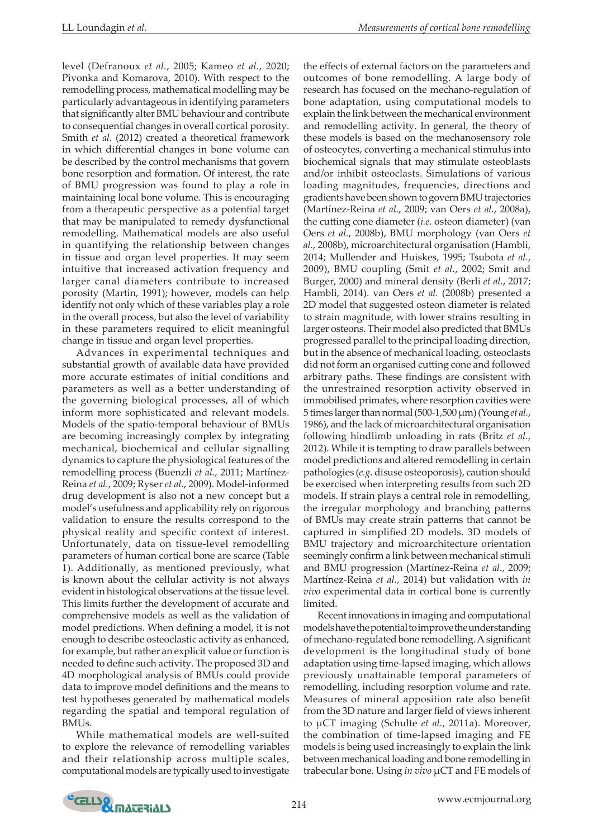level (Defranoux *et al.*, 2005; Kameo *et al.*, 2020; Pivonka and Komarova, 2010). With respect to the remodelling process, mathematical modelling may be particularly advantageous in identifying parameters that significantly alter BMU behaviour and contribute to consequential changes in overall cortical porosity. Smith *et al.* (2012) created a theoretical framework in which differential changes in bone volume can be described by the control mechanisms that govern bone resorption and formation. Of interest, the rate of BMU progression was found to play a role in maintaining local bone volume. This is encouraging from a therapeutic perspective as a potential target that may be manipulated to remedy dysfunctional remodelling. Mathematical models are also useful in quantifying the relationship between changes in tissue and organ level properties. It may seem intuitive that increased activation frequency and larger canal diameters contribute to increased porosity (Martin, 1991); however, models can help identify not only which of these variables play a role in the overall process, but also the level of variability in these parameters required to elicit meaningful change in tissue and organ level properties.

Advances in experimental techniques and substantial growth of available data have provided more accurate estimates of initial conditions and parameters as well as a better understanding of the governing biological processes, all of which inform more sophisticated and relevant models. Models of the spatio-temporal behaviour of BMUs are becoming increasingly complex by integrating mechanical, biochemical and cellular signalling dynamics to capture the physiological features of the remodelling process (Buenzli *et al.*, 2011; Martínez-Reina *et al.*, 2009; Ryser *et al.*, 2009). Model-informed drug development is also not a new concept but a model's usefulness and applicability rely on rigorous validation to ensure the results correspond to the physical reality and specific context of interest. Unfortunately, data on tissue-level remodelling parameters of human cortical bone are scarce (Table 1). Additionally, as mentioned previously, what is known about the cellular activity is not always evident in histological observations at the tissue level. This limits further the development of accurate and comprehensive models as well as the validation of model predictions. When defining a model, it is not enough to describe osteoclastic activity as enhanced, for example, but rather an explicit value or function is needed to define such activity. The proposed 3D and 4D morphological analysis of BMUs could provide data to improve model definitions and the means to test hypotheses generated by mathematical models regarding the spatial and temporal regulation of BMUs.

While mathematical models are well-suited to explore the relevance of remodelling variables and their relationship across multiple scales, computational models are typically used to investigate

the effects of external factors on the parameters and outcomes of bone remodelling. A large body of research has focused on the mechano-regulation of bone adaptation, using computational models to explain the link between the mechanical environment and remodelling activity. In general, the theory of these models is based on the mechanosensory role of osteocytes, converting a mechanical stimulus into biochemical signals that may stimulate osteoblasts and/or inhibit osteoclasts. Simulations of various loading magnitudes, frequencies, directions and gradients have been shown to govern BMU trajectories (Martínez-Reina *et al.*, 2009; van Oers *et al.*, 2008a), the cutting cone diameter (*i.e.* osteon diameter) (van Oers *et al.*, 2008b), BMU morphology (van Oers *et al.*, 2008b), microarchitectural organisation (Hambli, 2014; Mullender and Huiskes, 1995; Tsubota *et al.*, 2009), BMU coupling (Smit *et al.*, 2002; Smit and Burger, 2000) and mineral density (Berli *et al.*, 2017; Hambli, 2014). van Oers *et al.* (2008b) presented a 2D model that suggested osteon diameter is related to strain magnitude, with lower strains resulting in larger osteons. Their model also predicted that BMUs progressed parallel to the principal loading direction, but in the absence of mechanical loading, osteoclasts did not form an organised cutting cone and followed arbitrary paths. These findings are consistent with the unrestrained resorption activity observed in immobilised primates, where resorption cavities were 5 times larger than normal (500-1,500µm) (Young *et al.*, 1986), and the lack of microarchitectural organisation following hindlimb unloading in rats (Britz *et al.*, 2012). While it is tempting to draw parallels between model predictions and altered remodelling in certain pathologies (*e.g.* disuse osteoporosis), caution should be exercised when interpreting results from such 2D models. If strain plays a central role in remodelling, the irregular morphology and branching patterns of BMUs may create strain patterns that cannot be captured in simplified 2D models. 3D models of BMU trajectory and microarchitecture orientation seemingly confirm a link between mechanical stimuli and BMU progression (Martínez-Reina *et al.*, 2009; Martínez-Reina *et al.*, 2014) but validation with *in vivo* experimental data in cortical bone is currently limited.

Recent innovations in imaging and computational models have the potential to improve the understanding of mechano-regulated bone remodelling. A significant development is the longitudinal study of bone adaptation using time-lapsed imaging, which allows previously unattainable temporal parameters of remodelling, including resorption volume and rate. Measures of mineral apposition rate also benefit from the 3D nature and larger field of views inherent to µCT imaging (Schulte *et al.*, 2011a). Moreover, the combination of time-lapsed imaging and FE models is being used increasingly to explain the link between mechanical loading and bone remodelling in trabecular bone. Using *in vivo* µCT and FE models of

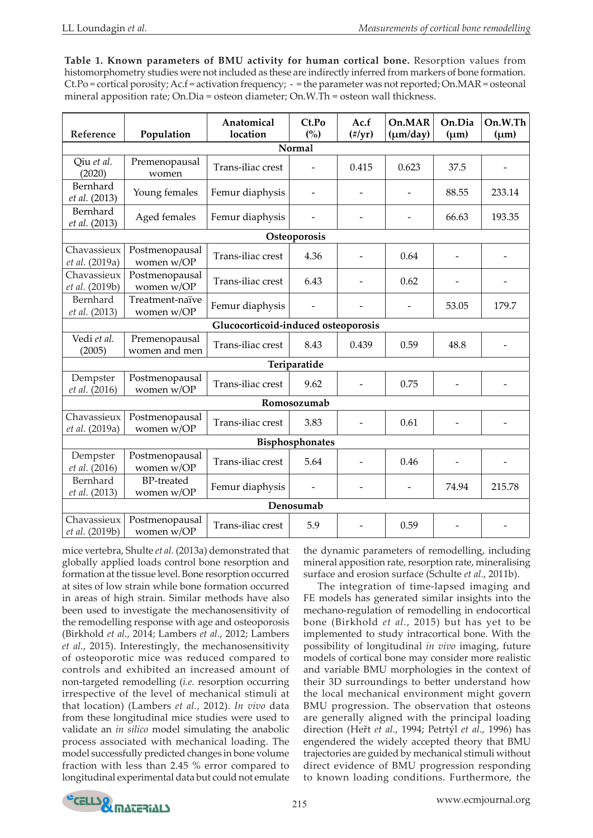**Table 1. Known parameters of BMU activity for human cortical bone.** Resorption values from histomorphometry studies were not included as these are indirectly inferred from markers of bone formation. Ct.Po = cortical porosity; Ac.f = activation frequency; - = the parameter was not reported; On.MAR = osteonal mineral apposition rate; On.Dia = osteon diameter; On.W.Th = osteon wall thickness.

| Reference                                                                                         |                                 | Anatomical<br>location | Ct.Po<br>(%) | Ac.f  | On.MAR         | On.Dia                   | On.W.Th |
|---------------------------------------------------------------------------------------------------|---------------------------------|------------------------|--------------|-------|----------------|--------------------------|---------|
| Population<br>$(\frac{\text{#}}{\text{yr}})$<br>$(\mu m/day)$<br>$(\mu m)$<br>$(\mu m)$<br>Normal |                                 |                        |              |       |                |                          |         |
| Qiu et al.<br>(2020)                                                                              | Premenopausal<br>women          | Trans-iliac crest      |              | 0.415 | 0.623          | 37.5                     |         |
| Bernhard<br>et al. (2013)                                                                         | Young females                   | Femur diaphysis        |              |       |                | 88.55                    | 233.14  |
| Bernhard<br>et al. (2013)                                                                         | Aged females                    | Femur diaphysis        |              |       |                | 66.63                    | 193.35  |
| Osteoporosis                                                                                      |                                 |                        |              |       |                |                          |         |
| Chavassieux<br>et al. (2019a)                                                                     | Postmenopausal<br>women w/OP    | Trans-iliac crest      | 4.36         |       | 0.64           | $\overline{\phantom{a}}$ |         |
| Chavassieux<br>et al. (2019b)                                                                     | Postmenopausal<br>women w/OP    | Trans-iliac crest      | 6.43         |       | 0.62           |                          |         |
| Bernhard<br>et al. (2013)                                                                         | Treatment-naïve<br>women w/OP   | Femur diaphysis        |              |       |                | 53.05                    | 179.7   |
| Glucocorticoid-induced osteoporosis                                                               |                                 |                        |              |       |                |                          |         |
| Vedi et al.<br>(2005)                                                                             | Premenopausal<br>women and men  | Trans-iliac crest      | 8.43         | 0.439 | 0.59           | 48.8                     |         |
| Teriparatide                                                                                      |                                 |                        |              |       |                |                          |         |
| Dempster<br>et al. (2016)                                                                         | Postmenopausal<br>women w/OP    | Trans-iliac crest      | 9.62         |       | 0.75           | $\overline{\phantom{m}}$ |         |
| Romosozumab                                                                                       |                                 |                        |              |       |                |                          |         |
| Chavassieux<br>et al. (2019a)                                                                     | Postmenopausal<br>women w/OP    | Trans-iliac crest      | 3.83         |       | 0.61           | $\overline{\phantom{a}}$ |         |
| Bisphosphonates                                                                                   |                                 |                        |              |       |                |                          |         |
| Dempster<br>et al. (2016)                                                                         | Postmenopausal<br>women w/OP    | Trans-iliac crest      | 5.64         |       | 0.46           |                          |         |
| Bernhard<br>et al. (2013)                                                                         | <b>BP-treated</b><br>women w/OP | Femur diaphysis        |              |       | $\overline{a}$ | 74.94                    | 215.78  |
| Denosumab                                                                                         |                                 |                        |              |       |                |                          |         |
| Chavassieux<br>et al. (2019b)                                                                     | Postmenopausal<br>women w/OP    | Trans-iliac crest      | 5.9          |       | 0.59           | $\overline{\phantom{0}}$ |         |

mice vertebra, Shulte *et al.* (2013a) demonstrated that globally applied loads control bone resorption and formation at the tissue level. Bone resorption occurred at sites of low strain while bone formation occurred in areas of high strain. Similar methods have also been used to investigate the mechanosensitivity of the remodelling response with age and osteoporosis (Birkhold *et al.*, 2014; Lambers *et al.*, 2012; Lambers *et al.*, 2015). Interestingly, the mechanosensitivity of osteoporotic mice was reduced compared to controls and exhibited an increased amount of non-targeted remodelling (*i.e.* resorption occurring irrespective of the level of mechanical stimuli at that location) (Lambers *et al.*, 2012). *In vivo* data from these longitudinal mice studies were used to validate an *in silico* model simulating the anabolic process associated with mechanical loading. The model successfully predicted changes in bone volume fraction with less than 2.45 % error compared to longitudinal experimental data but could not emulate

the dynamic parameters of remodelling, including mineral apposition rate, resorption rate, mineralising surface and erosion surface (Schulte *et al.*, 2011b).

The integration of time-lapsed imaging and FE models has generated similar insights into the mechano-regulation of remodelling in endocortical bone (Birkhold *et al.*, 2015) but has yet to be implemented to study intracortical bone. With the possibility of longitudinal *in vivo* imaging, future models of cortical bone may consider more realistic and variable BMU morphologies in the context of their 3D surroundings to better understand how the local mechanical environment might govern BMU progression. The observation that osteons are generally aligned with the principal loading direction (Heřt *et al.*, 1994; Petrtýl *et al.*, 1996) has engendered the widely accepted theory that BMU trajectories are guided by mechanical stimuli without direct evidence of BMU progression responding to known loading conditions. Furthermore, the

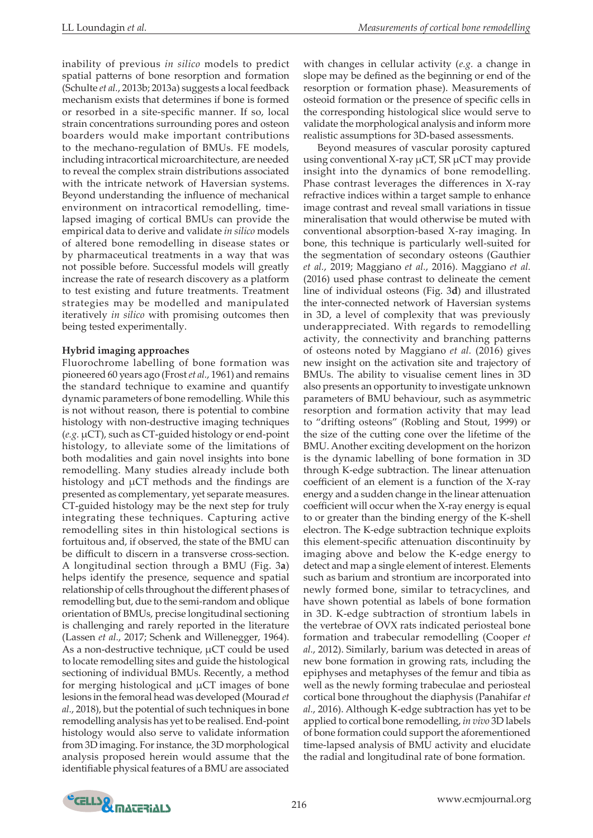inability of previous *in silico* models to predict spatial patterns of bone resorption and formation (Schulte *et al.*, 2013b; 2013a) suggests a local feedback mechanism exists that determines if bone is formed or resorbed in a site-specific manner. If so, local strain concentrations surrounding pores and osteon boarders would make important contributions to the mechano-regulation of BMUs. FE models, including intracortical microarchitecture, are needed to reveal the complex strain distributions associated with the intricate network of Haversian systems. Beyond understanding the influence of mechanical environment on intracortical remodelling, timelapsed imaging of cortical BMUs can provide the empirical data to derive and validate *in silico* models of altered bone remodelling in disease states or by pharmaceutical treatments in a way that was not possible before. Successful models will greatly increase the rate of research discovery as a platform to test existing and future treatments. Treatment strategies may be modelled and manipulated iteratively *in silico* with promising outcomes then being tested experimentally.

## **Hybrid imaging approaches**

Fluorochrome labelling of bone formation was pioneered 60 years ago (Frost *et al.*, 1961) and remains the standard technique to examine and quantify dynamic parameters of bone remodelling. While this is not without reason, there is potential to combine histology with non-destructive imaging techniques (*e.g.* µCT), such as CT-guided histology or end-point histology, to alleviate some of the limitations of both modalities and gain novel insights into bone remodelling. Many studies already include both histology and  $\mu$ CT methods and the findings are presented as complementary, yet separate measures. CT-guided histology may be the next step for truly integrating these techniques. Capturing active remodelling sites in thin histological sections is fortuitous and, if observed, the state of the BMU can be difficult to discern in a transverse cross-section. A longitudinal section through a BMU (Fig. 3**a**) helps identify the presence, sequence and spatial relationship of cells throughout the different phases of remodelling but, due to the semi-random and oblique orientation of BMUs, precise longitudinal sectioning is challenging and rarely reported in the literature (Lassen *et al.*, 2017; Schenk and Willenegger, 1964). As a non-destructive technique,  $\mu$ CT could be used to locate remodelling sites and guide the histological sectioning of individual BMUs. Recently, a method for merging histological and µCT images of bone lesions in the femoral head was developed (Mourad *et al.*, 2018), but the potential of such techniques in bone remodelling analysis has yet to be realised. End-point histology would also serve to validate information from 3D imaging. For instance, the 3D morphological analysis proposed herein would assume that the identifiable physical features of a BMU are associated

with changes in cellular activity (*e.g.* a change in slope may be defined as the beginning or end of the resorption or formation phase). Measurements of osteoid formation or the presence of specific cells in the corresponding histological slice would serve to validate the morphological analysis and inform more realistic assumptions for 3D-based assessments.

Beyond measures of vascular porosity captured using conventional X-ray µCT, SR µCT may provide insight into the dynamics of bone remodelling. Phase contrast leverages the differences in X-ray refractive indices within a target sample to enhance image contrast and reveal small variations in tissue mineralisation that would otherwise be muted with conventional absorption-based X-ray imaging. In bone, this technique is particularly well-suited for the segmentation of secondary osteons (Gauthier *et al.*, 2019; Maggiano *et al.*, 2016). Maggiano *et al.* (2016) used phase contrast to delineate the cement line of individual osteons (Fig. 3**d**) and illustrated the inter-connected network of Haversian systems in 3D, a level of complexity that was previously underappreciated. With regards to remodelling activity, the connectivity and branching patterns of osteons noted by Maggiano *et al.* (2016) gives new insight on the activation site and trajectory of BMUs. The ability to visualise cement lines in 3D also presents an opportunity to investigate unknown parameters of BMU behaviour, such as asymmetric resorption and formation activity that may lead to "drifting osteons" (Robling and Stout, 1999) or the size of the cutting cone over the lifetime of the BMU. Another exciting development on the horizon is the dynamic labelling of bone formation in 3D through K-edge subtraction. The linear attenuation coefficient of an element is a function of the X-ray energy and a sudden change in the linear attenuation coefficient will occur when the X-ray energy is equal to or greater than the binding energy of the K-shell electron. The K-edge subtraction technique exploits this element-specific attenuation discontinuity by imaging above and below the K-edge energy to detect and map a single element of interest. Elements such as barium and strontium are incorporated into newly formed bone, similar to tetracyclines, and have shown potential as labels of bone formation in 3D. K-edge subtraction of strontium labels in the vertebrae of OVX rats indicated periosteal bone formation and trabecular remodelling (Cooper *et al.*, 2012). Similarly, barium was detected in areas of new bone formation in growing rats, including the epiphyses and metaphyses of the femur and tibia as well as the newly forming trabeculae and periosteal cortical bone throughout the diaphysis (Panahifar *et al.*, 2016). Although K-edge subtraction has yet to be applied to cortical bone remodelling, *in vivo* 3D labels of bone formation could support the aforementioned time-lapsed analysis of BMU activity and elucidate the radial and longitudinal rate of bone formation.

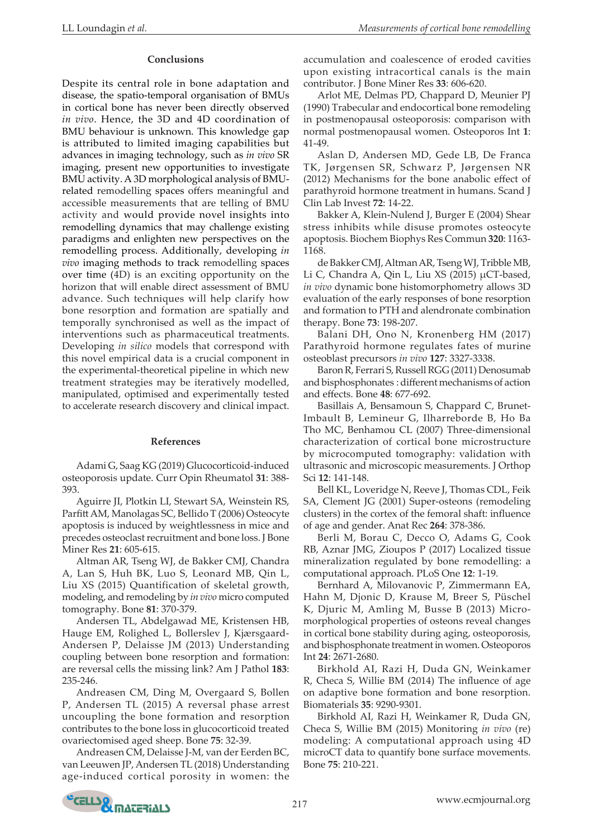## **Conclusions**

Despite its central role in bone adaptation and disease, the spatio-temporal organisation of BMUs in cortical bone has never been directly observed *in vivo*. Hence, the 3D and 4D coordination of BMU behaviour is unknown. This knowledge gap is attributed to limited imaging capabilities but advances in imaging technology, such as *in vivo* SR imaging, present new opportunities to investigate BMU activity. A 3D morphological analysis of BMUrelated remodelling spaces offers meaningful and accessible measurements that are telling of BMU activity and would provide novel insights into remodelling dynamics that may challenge existing paradigms and enlighten new perspectives on the remodelling process. Additionally, developing *in vivo* imaging methods to track remodelling spaces over time (4D) is an exciting opportunity on the horizon that will enable direct assessment of BMU advance. Such techniques will help clarify how bone resorption and formation are spatially and temporally synchronised as well as the impact of interventions such as pharmaceutical treatments. Developing *in silico* models that correspond with this novel empirical data is a crucial component in the experimental-theoretical pipeline in which new treatment strategies may be iteratively modelled, manipulated, optimised and experimentally tested to accelerate research discovery and clinical impact.

#### **References**

Adami G, Saag KG (2019) Glucocorticoid-induced osteoporosis update. Curr Opin Rheumatol **31**: 388- 393.

Aguirre JI, Plotkin LI, Stewart SA, Weinstein RS, Parfitt AM, Manolagas SC, Bellido T (2006) Osteocyte apoptosis is induced by weightlessness in mice and precedes osteoclast recruitment and bone loss. J Bone Miner Res **21**: 605-615.

Altman AR, Tseng WJ, de Bakker CMJ, Chandra A, Lan S, Huh BK, Luo S, Leonard MB, Qin L, Liu XS (2015) Quantification of skeletal growth, modeling, and remodeling by *in vivo* micro computed tomography. Bone **81**: 370-379.

Andersen TL, Abdelgawad ME, Kristensen HB, Hauge EM, Rolighed L, Bollerslev J, Kjærsgaard-Andersen P, Delaisse JM (2013) Understanding coupling between bone resorption and formation: are reversal cells the missing link? Am J Pathol **183**: 235-246.

Andreasen CM, Ding M, Overgaard S, Bollen P, Andersen TL (2015) A reversal phase arrest uncoupling the bone formation and resorption contributes to the bone loss in glucocorticoid treated ovariectomised aged sheep. Bone **75**: 32-39.

Andreasen CM, Delaisse J-M, van der Eerden BC, van Leeuwen JP, Andersen TL (2018) Understanding age-induced cortical porosity in women: the accumulation and coalescence of eroded cavities upon existing intracortical canals is the main contributor. J Bone Miner Res **33**: 606-620.

Arlot ME, Delmas PD, Chappard D, Meunier PJ (1990) Trabecular and endocortical bone remodeling in postmenopausal osteoporosis: comparison with normal postmenopausal women. Osteoporos Int **1**: 41-49.

Aslan D, Andersen MD, Gede LB, De Franca TK, Jørgensen SR, Schwarz P, Jørgensen NR (2012) Mechanisms for the bone anabolic effect of parathyroid hormone treatment in humans. Scand J Clin Lab Invest **72**: 14-22.

Bakker A, Klein-Nulend J, Burger E (2004) Shear stress inhibits while disuse promotes osteocyte apoptosis. Biochem Biophys Res Commun **320**: 1163- 1168.

de Bakker CMJ, Altman AR, Tseng WJ, Tribble MB, Li C, Chandra A, Qin L, Liu XS (2015) µCT-based, *in vivo* dynamic bone histomorphometry allows 3D evaluation of the early responses of bone resorption and formation to PTH and alendronate combination therapy. Bone **73**: 198-207.

Balani DH, Ono N, Kronenberg HM (2017) Parathyroid hormone regulates fates of murine osteoblast precursors *in vivo* **127**: 3327-3338.

Baron R, Ferrari S, Russell RGG (2011) Denosumab and bisphosphonates : different mechanisms of action and effects. Bone **48**: 677-692.

Basillais A, Bensamoun S, Chappard C, Brunet-Imbault B, Lemineur G, Ilharreborde B, Ho Ba Tho MC, Benhamou CL (2007) Three-dimensional characterization of cortical bone microstructure by microcomputed tomography: validation with ultrasonic and microscopic measurements. J Orthop Sci **12**: 141-148.

Bell KL, Loveridge N, Reeve J, Thomas CDL, Feik SA, Clement JG (2001) Super-osteons (remodeling clusters) in the cortex of the femoral shaft: influence of age and gender. Anat Rec **264**: 378-386.

Berli M, Borau C, Decco O, Adams G, Cook RB, Aznar JMG, Zioupos P (2017) Localized tissue mineralization regulated by bone remodelling: a computational approach. PLoS One **12**: 1-19.

Bernhard A, Milovanovic P, Zimmermann EA, Hahn M, Djonic D, Krause M, Breer S, Püschel K, Djuric M, Amling M, Busse B (2013) Micromorphological properties of osteons reveal changes in cortical bone stability during aging, osteoporosis, and bisphosphonate treatment in women. Osteoporos Int **24**: 2671-2680.

Birkhold AI, Razi H, Duda GN, Weinkamer R, Checa S, Willie BM (2014) The influence of age on adaptive bone formation and bone resorption. Biomaterials **35**: 9290-9301.

Birkhold AI, Razi H, Weinkamer R, Duda GN, Checa S, Willie BM (2015) Monitoring *in vivo* (re) modeling: A computational approach using 4D microCT data to quantify bone surface movements. Bone **75**: 210-221.

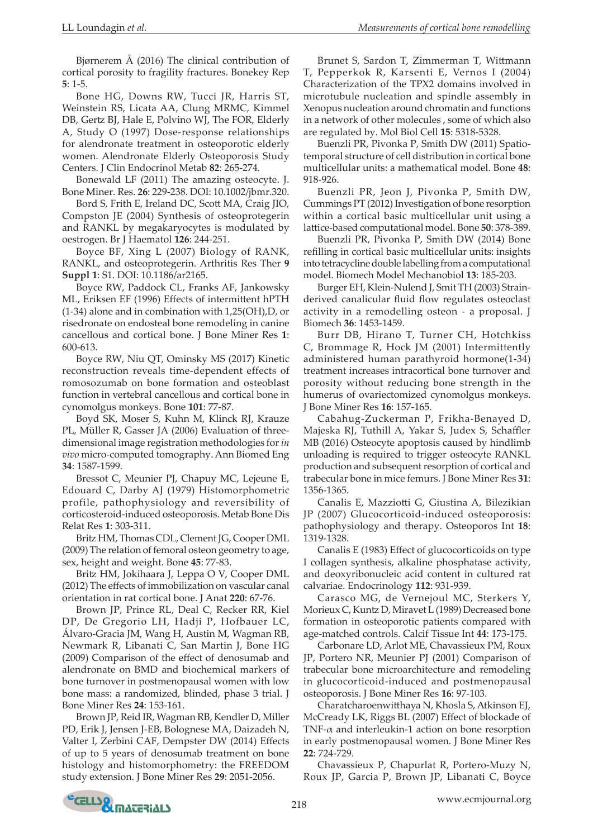Bjørnerem Å (2016) The clinical contribution of cortical porosity to fragility fractures. Bonekey Rep **5**: 1-5.

Bone HG, Downs RW, Tucci JR, Harris ST, Weinstein RS, Licata AA, Clung MRMC, Kimmel DB, Gertz BJ, Hale E, Polvino WJ, The FOR, Elderly A, Study O (1997) Dose-response relationships for alendronate treatment in osteoporotic elderly women. Alendronate Elderly Osteoporosis Study Centers. J Clin Endocrinol Metab **82**: 265-274.

Bonewald LF (2011) The amazing osteocyte. J. Bone Miner. Res. **26**: 229-238. DOI: 10.1002/jbmr.320.

Bord S, Frith E, Ireland DC, Scott MA, Craig JIO, Compston JE (2004) Synthesis of osteoprotegerin and RANKL by megakaryocytes is modulated by oestrogen. Br J Haematol **126**: 244-251.

Boyce BF, Xing L (2007) Biology of RANK, RANKL, and osteoprotegerin. Arthritis Res Ther **9 Suppl 1**: S1. DOI: 10.1186/ar2165.

Boyce RW, Paddock CL, Franks AF, Jankowsky ML, Eriksen EF (1996) Effects of intermittent hPTH (1-34) alone and in combination with 1,25(OH),D, or risedronate on endosteal bone remodeling in canine cancellous and cortical bone. J Bone Miner Res **1**: 600-613.

Boyce RW, Niu QT, Ominsky MS (2017) Kinetic reconstruction reveals time-dependent effects of romosozumab on bone formation and osteoblast function in vertebral cancellous and cortical bone in cynomolgus monkeys. Bone **101**: 77-87.

Boyd SK, Moser S, Kuhn M, Klinck RJ, Krauze PL, Müller R, Gasser JA (2006) Evaluation of threedimensional image registration methodologies for *in vivo* micro-computed tomography. Ann Biomed Eng **34**: 1587-1599.

Bressot C, Meunier PJ, Chapuy MC, Lejeune E, Edouard C, Darby AJ (1979) Histomorphometric profile, pathophysiology and reversibility of corticosteroid-induced osteoporosis. Metab Bone Dis Relat Res **1**: 303-311.

Britz HM, Thomas CDL, Clement JG, Cooper DML (2009) The relation of femoral osteon geometry to age, sex, height and weight. Bone **45**: 77-83.

Britz HM, Jokihaara J, Leppa O V, Cooper DML (2012) The effects of immobilization on vascular canal orientation in rat cortical bone. J Anat **220**: 67-76.

Brown JP, Prince RL, Deal C, Recker RR, Kiel DP, De Gregorio LH, Hadji P, Hofbauer LC, Álvaro-Gracia JM, Wang H, Austin M, Wagman RB, Newmark R, Libanati C, San Martin J, Bone HG (2009) Comparison of the effect of denosumab and alendronate on BMD and biochemical markers of bone turnover in postmenopausal women with low bone mass: a randomized, blinded, phase 3 trial. J Bone Miner Res **24**: 153-161.

Brown JP, Reid IR, Wagman RB, Kendler D, Miller PD, Erik J, Jensen J-EB, Bolognese MA, Daizadeh N, Valter I, Zerbini CAF, Dempster DW (2014) Effects of up to 5 years of denosumab treatment on bone histology and histomorphometry: the FREEDOM study extension. J Bone Miner Res **29**: 2051-2056.

Brunet S, Sardon T, Zimmerman T, Wittmann T, Pepperkok R, Karsenti E, Vernos I (2004) Characterization of the TPX2 domains involved in microtubule nucleation and spindle assembly in Xenopus nucleation around chromatin and functions in a network of other molecules , some of which also are regulated by. Mol Biol Cell **15**: 5318-5328.

Buenzli PR, Pivonka P, Smith DW (2011) Spatiotemporal structure of cell distribution in cortical bone multicellular units: a mathematical model. Bone **48**: 918-926.

Buenzli PR, Jeon J, Pivonka P, Smith DW, Cummings PT (2012) Investigation of bone resorption within a cortical basic multicellular unit using a lattice-based computational model. Bone **50**: 378-389.

Buenzli PR, Pivonka P, Smith DW (2014) Bone refilling in cortical basic multicellular units: insights into tetracycline double labelling from a computational model. Biomech Model Mechanobiol **13**: 185-203.

Burger EH, Klein-Nulend J, Smit TH (2003) Strainderived canalicular fluid flow regulates osteoclast activity in a remodelling osteon - a proposal. J Biomech **36**: 1453-1459.

Burr DB, Hirano T, Turner CH, Hotchkiss C, Brommage R, Hock JM (2001) Intermittently administered human parathyroid hormone(1-34) treatment increases intracortical bone turnover and porosity without reducing bone strength in the humerus of ovariectomized cynomolgus monkeys. J Bone Miner Res **16**: 157-165.

Cabahug-Zuckerman P, Frikha-Benayed D, Majeska RJ, Tuthill A, Yakar S, Judex S, Schaffler MB (2016) Osteocyte apoptosis caused by hindlimb unloading is required to trigger osteocyte RANKL production and subsequent resorption of cortical and trabecular bone in mice femurs. J Bone Miner Res **31**: 1356-1365.

Canalis E, Mazziotti G, Giustina A, Bilezikian JP (2007) Glucocorticoid-induced osteoporosis: pathophysiology and therapy. Osteoporos Int **18**: 1319-1328.

Canalis E (1983) Effect of glucocorticoids on type I collagen synthesis, alkaline phosphatase activity, and deoxyribonucleic acid content in cultured rat calvariae. Endocrinology **112**: 931-939.

Carasco MG, de Vernejoul MC, Sterkers Y, Morieux C, Kuntz D, Miravet L (1989) Decreased bone formation in osteoporotic patients compared with age-matched controls. Calcif Tissue Int **44**: 173-175.

Carbonare LD, Arlot ME, Chavassieux PM, Roux JP, Portero NR, Meunier PJ (2001) Comparison of trabecular bone microarchitecture and remodeling in glucocorticoid-induced and postmenopausal osteoporosis. J Bone Miner Res **16**: 97-103.

Charatcharoenwitthaya N, Khosla S, Atkinson EJ, McCready LK, Riggs BL (2007) Effect of blockade of TNF- $\alpha$  and interleukin-1 action on bone resorption in early postmenopausal women. J Bone Miner Res **22**: 724-729.

Chavassieux P, Chapurlat R, Portero-Muzy N, Roux JP, Garcia P, Brown JP, Libanati C, Boyce

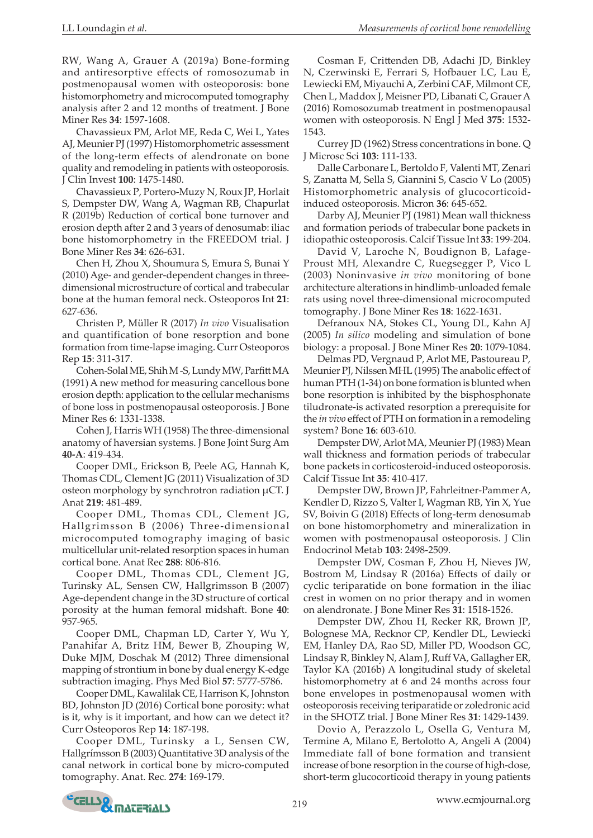RW, Wang A, Grauer A (2019a) Bone-forming and antiresorptive effects of romosozumab in postmenopausal women with osteoporosis: bone histomorphometry and microcomputed tomography analysis after 2 and 12 months of treatment. J Bone Miner Res **34**: 1597-1608.

Chavassieux PM, Arlot ME, Reda C, Wei L, Yates AJ, Meunier PJ (1997) Histomorphometric assessment of the long-term effects of alendronate on bone quality and remodeling in patients with osteoporosis. J Clin Invest **100**: 1475-1480.

Chavassieux P, Portero-Muzy N, Roux JP, Horlait S, Dempster DW, Wang A, Wagman RB, Chapurlat R (2019b) Reduction of cortical bone turnover and erosion depth after 2 and 3 years of denosumab: iliac bone histomorphometry in the FREEDOM trial. J Bone Miner Res **34**: 626-631.

Chen H, Zhou X, Shoumura S, Emura S, Bunai Y (2010) Age- and gender-dependent changes in threedimensional microstructure of cortical and trabecular bone at the human femoral neck. Osteoporos Int **21**: 627-636.

Christen P, Müller R (2017) *In vivo* Visualisation and quantification of bone resorption and bone formation from time-lapse imaging. Curr Osteoporos Rep **15**: 311-317.

Cohen‐Solal ME, Shih M ‐S, Lundy MW, Parfitt MA (1991) A new method for measuring cancellous bone erosion depth: application to the cellular mechanisms of bone loss in postmenopausal osteoporosis. J Bone Miner Res **6**: 1331-1338.

Cohen J, Harris WH (1958) The three-dimensional anatomy of haversian systems. J Bone Joint Surg Am **40-A**: 419-434.

Cooper DML, Erickson B, Peele AG, Hannah K, Thomas CDL, Clement JG (2011) Visualization of 3D osteon morphology by synchrotron radiation µCT. J Anat **219**: 481-489.

Cooper DML, Thomas CDL, Clement JG, Hallgrimsson B (2006) Three-dimensional microcomputed tomography imaging of basic multicellular unit-related resorption spaces in human cortical bone. Anat Rec **288**: 806-816.

Cooper DML, Thomas CDL, Clement JG, Turinsky AL, Sensen CW, Hallgrimsson B (2007) Age-dependent change in the 3D structure of cortical porosity at the human femoral midshaft. Bone **40**: 957-965.

Cooper DML, Chapman LD, Carter Y, Wu Y, Panahifar A, Britz HM, Bewer B, Zhouping W, Duke MJM, Doschak M (2012) Three dimensional mapping of strontium in bone by dual energy K-edge subtraction imaging. Phys Med Biol **57**: 5777-5786.

Cooper DML, Kawalilak CE, Harrison K, Johnston BD, Johnston JD (2016) Cortical bone porosity: what is it, why is it important, and how can we detect it? Curr Osteoporos Rep **14**: 187-198.

Cooper DML, Turinsky a L, Sensen CW, Hallgrímsson B (2003) Quantitative 3D analysis of the canal network in cortical bone by micro-computed tomography. Anat. Rec. **274**: 169-179.

Cosman F, Crittenden DB, Adachi JD, Binkley N, Czerwinski E, Ferrari S, Hofbauer LC, Lau E, Lewiecki EM, Miyauchi A, Zerbini CAF, Milmont CE, Chen L, Maddox J, Meisner PD, Libanati C, Grauer A (2016) Romosozumab treatment in postmenopausal women with osteoporosis. N Engl J Med **375**: 1532- 1543.

Currey JD (1962) Stress concentrations in bone. Q J Microsc Sci **103**: 111-133.

Dalle Carbonare L, Bertoldo F, Valenti MT, Zenari S, Zanatta M, Sella S, Giannini S, Cascio V Lo (2005) Histomorphometric analysis of glucocorticoidinduced osteoporosis. Micron **36**: 645-652.

Darby AJ, Meunier PJ (1981) Mean wall thickness and formation periods of trabecular bone packets in idiopathic osteoporosis. Calcif Tissue Int **33**: 199-204.

David V, Laroche N, Boudignon B, Lafage-Proust MH, Alexandre C, Ruegsegger P, Vico L (2003) Noninvasive *in vivo* monitoring of bone architecture alterations in hindlimb-unloaded female rats using novel three-dimensional microcomputed tomography. J Bone Miner Res **18**: 1622-1631.

Defranoux NA, Stokes CL, Young DL, Kahn AJ (2005) *In silico* modeling and simulation of bone biology: a proposal. J Bone Miner Res **20**: 1079-1084.

Delmas PD, Vergnaud P, Arlot ME, Pastoureau P, Meunier PJ, Nilssen MHL (1995) The anabolic effect of human PTH (1-34) on bone formation is blunted when bone resorption is inhibited by the bisphosphonate tiludronate-is activated resorption a prerequisite for the *in vivo* effect of PTH on formation in a remodeling system? Bone **16**: 603-610.

Dempster DW, Arlot MA, Meunier PJ (1983) Mean wall thickness and formation periods of trabecular bone packets in corticosteroid-induced osteoporosis. Calcif Tissue Int **35**: 410-417.

Dempster DW, Brown JP, Fahrleitner-Pammer A, Kendler D, Rizzo S, Valter I, Wagman RB, Yin X, Yue SV, Boivin G (2018) Effects of long-term denosumab on bone histomorphometry and mineralization in women with postmenopausal osteoporosis. J Clin Endocrinol Metab **103**: 2498-2509.

Dempster DW, Cosman F, Zhou H, Nieves JW, Bostrom M, Lindsay R (2016a) Effects of daily or cyclic teriparatide on bone formation in the iliac crest in women on no prior therapy and in women on alendronate. J Bone Miner Res **31**: 1518-1526.

Dempster DW, Zhou H, Recker RR, Brown JP, Bolognese MA, Recknor CP, Kendler DL, Lewiecki EM, Hanley DA, Rao SD, Miller PD, Woodson GC, Lindsay R, Binkley N, Alam J, Ruff VA, Gallagher ER, Taylor KA (2016b) A longitudinal study of skeletal histomorphometry at 6 and 24 months across four bone envelopes in postmenopausal women with osteoporosis receiving teriparatide or zoledronic acid in the SHOTZ trial. J Bone Miner Res **31**: 1429-1439.

Dovio A, Perazzolo L, Osella G, Ventura M, Termine A, Milano E, Bertolotto A, Angeli A (2004) Immediate fall of bone formation and transient increase of bone resorption in the course of high-dose, short-term glucocorticoid therapy in young patients

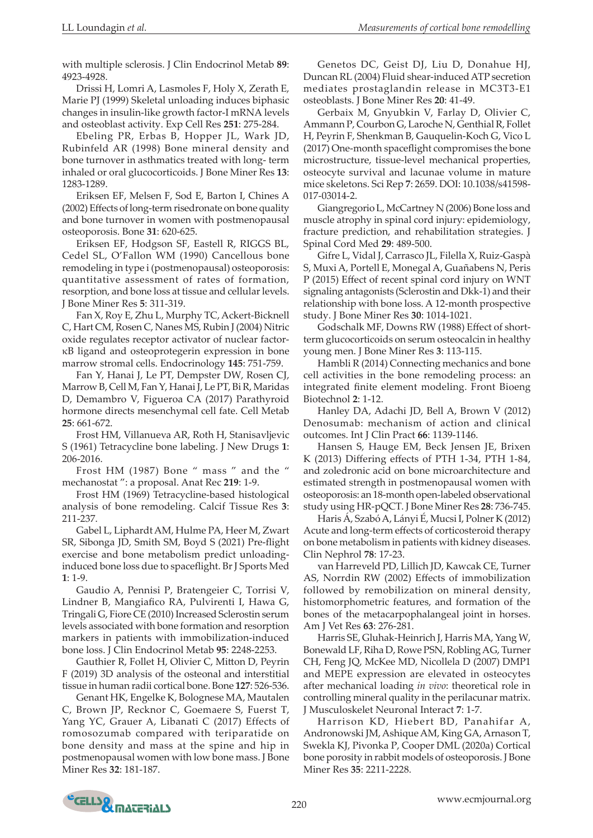with multiple sclerosis. J Clin Endocrinol Metab **89**: 4923-4928.

Drissi H, Lomri A, Lasmoles F, Holy X, Zerath E, Marie PJ (1999) Skeletal unloading induces biphasic changes in insulin-like growth factor-I mRNA levels and osteoblast activity. Exp Cell Res **251**: 275-284.

Ebeling PR, Erbas B, Hopper JL, Wark JD, Rubinfeld AR (1998) Bone mineral density and bone turnover in asthmatics treated with long- term inhaled or oral glucocorticoids. J Bone Miner Res **13**: 1283-1289.

Eriksen EF, Melsen F, Sod E, Barton I, Chines A (2002) Effects of long-term risedronate on bone quality and bone turnover in women with postmenopausal osteoporosis. Bone **31**: 620-625.

Eriksen EF, Hodgson SF, Eastell R, RIGGS BL, Cedel SL, O'Fallon WM (1990) Cancellous bone remodeling in type i (postmenopausal) osteoporosis: quantitative assessment of rates of formation, resorption, and bone loss at tissue and cellular levels. J Bone Miner Res **5**: 311-319.

Fan X, Roy E, Zhu L, Murphy TC, Ackert-Bicknell C, Hart CM, Rosen C, Nanes MS, Rubin J (2004) Nitric oxide regulates receptor activator of nuclear factorκB ligand and osteoprotegerin expression in bone marrow stromal cells. Endocrinology **145**: 751-759.

Fan Y, Hanai J, Le PT, Dempster DW, Rosen CJ, Marrow B, Cell M, Fan Y, Hanai J, Le PT, Bi R, Maridas D, Demambro V, Figueroa CA (2017) Parathyroid hormone directs mesenchymal cell fate. Cell Metab **25**: 661-672.

Frost HM, Villanueva AR, Roth H, Stanisavljevic S (1961) Tetracycline bone labeling. J New Drugs **1**: 206-2016.

Frost HM (1987) Bone " mass " and the " mechanostat ": a proposal. Anat Rec **219**: 1-9.

Frost HM (1969) Tetracycline-based histological analysis of bone remodeling. Calcif Tissue Res **3**: 211-237.

Gabel L, Liphardt AM, Hulme PA, Heer M, Zwart SR, Sibonga JD, Smith SM, Boyd S (2021) Pre-flight exercise and bone metabolism predict unloadinginduced bone loss due to spaceflight. Br J Sports Med **1**: 1-9.

Gaudio A, Pennisi P, Bratengeier C, Torrisi V, Lindner B, Mangiafico RA, Pulvirenti I, Hawa G, Tringali G, Fiore CE (2010) Increased Sclerostin serum levels associated with bone formation and resorption markers in patients with immobilization-induced bone loss. J Clin Endocrinol Metab **95**: 2248-2253.

Gauthier R, Follet H, Olivier C, Mitton D, Peyrin F (2019) 3D analysis of the osteonal and interstitial tissue in human radii cortical bone. Bone **127**: 526-536.

Genant HK, Engelke K, Bolognese MA, Mautalen C, Brown JP, Recknor C, Goemaere S, Fuerst T, Yang YC, Grauer A, Libanati C (2017) Effects of romosozumab compared with teriparatide on bone density and mass at the spine and hip in postmenopausal women with low bone mass. J Bone Miner Res **32**: 181-187.

Genetos DC, Geist DJ, Liu D, Donahue HJ, Duncan RL (2004) Fluid shear-induced ATP secretion mediates prostaglandin release in MC3T3-E1 osteoblasts. J Bone Miner Res **20**: 41-49.

Gerbaix M, Gnyubkin V, Farlay D, Olivier C, Ammann P, Courbon G, Laroche N, Genthial R, Follet H, Peyrin F, Shenkman B, Gauquelin-Koch G, Vico L (2017) One-month spaceflight compromises the bone microstructure, tissue-level mechanical properties, osteocyte survival and lacunae volume in mature mice skeletons. Sci Rep **7**: 2659. DOI: 10.1038/s41598- 017-03014-2.

Giangregorio L, McCartney N (2006) Bone loss and muscle atrophy in spinal cord injury: epidemiology, fracture prediction, and rehabilitation strategies. J Spinal Cord Med **29**: 489-500.

Gifre L, Vidal J, Carrasco JL, Filella X, Ruiz-Gaspà S, Muxi A, Portell E, Monegal A, Guañabens N, Peris P (2015) Effect of recent spinal cord injury on WNT signaling antagonists (Sclerostin and Dkk-1) and their relationship with bone loss. A 12-month prospective study. J Bone Miner Res **30**: 1014-1021.

Godschalk MF, Downs RW (1988) Effect of short‐ term glucocorticoids on serum osteocalcin in healthy young men. J Bone Miner Res **3**: 113-115.

Hambli R (2014) Connecting mechanics and bone cell activities in the bone remodeling process: an integrated finite element modeling. Front Bioeng Biotechnol **2**: 1-12.

Hanley DA, Adachi JD, Bell A, Brown V (2012) Denosumab: mechanism of action and clinical outcomes. Int J Clin Pract **66**: 1139-1146.

Hansen S, Hauge EM, Beck Jensen JE, Brixen K (2013) Differing effects of PTH 1-34, PTH 1-84, and zoledronic acid on bone microarchitecture and estimated strength in postmenopausal women with osteoporosis: an 18-month open-labeled observational study using HR-pQCT. J Bone Miner Res **28**: 736-745.

Haris Á, Szabó A, Lányi É, Mucsi I, Polner K (2012) Acute and long-term effects of corticosteroid therapy on bone metabolism in patients with kidney diseases. Clin Nephrol **78**: 17-23.

van Harreveld PD, Lillich JD, Kawcak CE, Turner AS, Norrdin RW (2002) Effects of immobilization followed by remobilization on mineral density, histomorphometric features, and formation of the bones of the metacarpophalangeal joint in horses. Am J Vet Res **63**: 276-281.

Harris SE, Gluhak-Heinrich J, Harris MA, Yang W, Bonewald LF, Riha D, Rowe PSN, Robling AG, Turner CH, Feng JQ, McKee MD, Nicollela D (2007) DMP1 and MEPE expression are elevated in osteocytes after mechanical loading *in vivo*: theoretical role in controlling mineral quality in the perilacunar matrix. J Musculoskelet Neuronal Interact **7**: 1-7.

Harrison KD, Hiebert BD, Panahifar A, Andronowski JM, Ashique AM, King GA, Arnason T, Swekla KJ, Pivonka P, Cooper DML (2020a) Cortical bone porosity in rabbit models of osteoporosis. J Bone Miner Res **35**: 2211-2228.

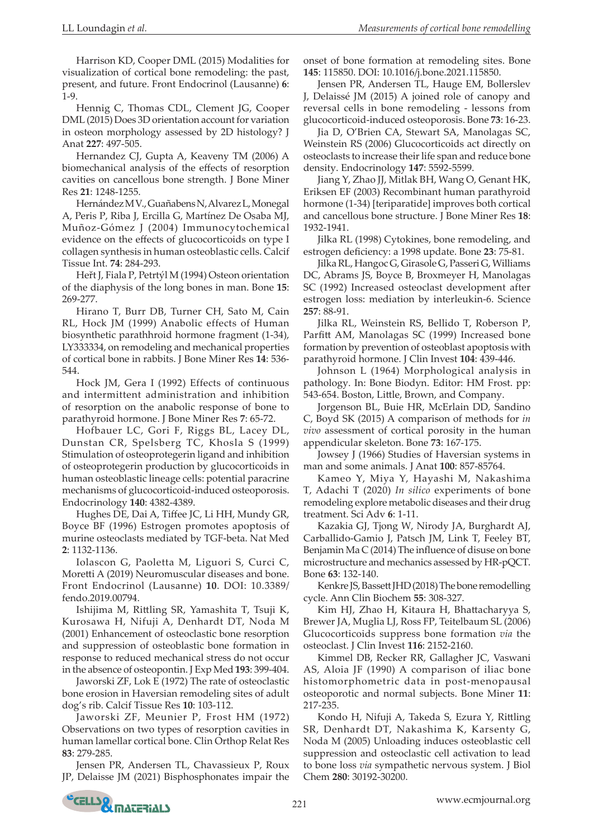Harrison KD, Cooper DML (2015) Modalities for visualization of cortical bone remodeling: the past, present, and future. Front Endocrinol (Lausanne) **6**: 1-9.

Hennig C, Thomas CDL, Clement JG, Cooper DML (2015) Does 3D orientation account for variation in osteon morphology assessed by 2D histology? J Anat **227**: 497-505.

Hernandez CJ, Gupta A, Keaveny TM (2006) A biomechanical analysis of the effects of resorption cavities on cancellous bone strength. J Bone Miner Res **21**: 1248-1255.

Hernández M V., Guañabens N, Alvarez L, Monegal A, Peris P, Riba J, Ercilla G, Martínez De Osaba MJ, Muñoz-Gómez J (2004) Immunocytochemical evidence on the effects of glucocorticoids on type I collagen synthesis in human osteoblastic cells. Calcif Tissue Int. **74**: 284-293.

Heřt J, Fiala P, Petrtýl M (1994) Osteon orientation of the diaphysis of the long bones in man. Bone **15**: 269-277.

Hirano T, Burr DB, Turner CH, Sato M, Cain RL, Hock JM (1999) Anabolic effects of Human biosynthetic parathhroid hormone fragment (1-34), LY333334, on remodeling and mechanical properties of cortical bone in rabbits. J Bone Miner Res **14**: 536- 544.

Hock JM, Gera I (1992) Effects of continuous and intermittent administration and inhibition of resorption on the anabolic response of bone to parathyroid hormone. J Bone Miner Res **7**: 65-72.

Hofbauer LC, Gori F, Riggs BL, Lacey DL, Dunstan CR, Spelsberg TC, Khosla S (1999) Stimulation of osteoprotegerin ligand and inhibition of osteoprotegerin production by glucocorticoids in human osteoblastic lineage cells: potential paracrine mechanisms of glucocorticoid-induced osteoporosis. Endocrinology **140**: 4382-4389.

Hughes DE, Dai A, Tiffee JC, Li HH, Mundy GR, Boyce BF (1996) Estrogen promotes apoptosis of murine osteoclasts mediated by TGF-beta. Nat Med **2**: 1132-1136.

Iolascon G, Paoletta M, Liguori S, Curci C, Moretti A (2019) Neuromuscular diseases and bone. Front Endocrinol (Lausanne) **10**. DOI: 10.3389/ fendo.2019.00794.

Ishijima M, Rittling SR, Yamashita T, Tsuji K, Kurosawa H, Nifuji A, Denhardt DT, Noda M (2001) Enhancement of osteoclastic bone resorption and suppression of osteoblastic bone formation in response to reduced mechanical stress do not occur in the absence of osteopontin. J Exp Med **193**: 399-404.

Jaworski ZF, Lok E (1972) The rate of osteoclastic bone erosion in Haversian remodeling sites of adult dog's rib. Calcif Tissue Res **10**: 103-112.

Jaworski ZF, Meunier P, Frost HM (1972) Observations on two types of resorption cavities in human lamellar cortical bone. Clin Orthop Relat Res **83**: 279-285.

Jensen PR, Andersen TL, Chavassieux P, Roux JP, Delaisse JM (2021) Bisphosphonates impair the onset of bone formation at remodeling sites. Bone **145**: 115850. DOI: 10.1016/j.bone.2021.115850.

Jensen PR, Andersen TL, Hauge EM, Bollerslev J, Delaissé JM (2015) A joined role of canopy and reversal cells in bone remodeling - lessons from glucocorticoid-induced osteoporosis. Bone **73**: 16-23.

Jia D, O'Brien CA, Stewart SA, Manolagas SC, Weinstein RS (2006) Glucocorticoids act directly on osteoclasts to increase their life span and reduce bone density. Endocrinology **147**: 5592-5599.

Jiang Y, Zhao JJ, Mitlak BH, Wang O, Genant HK, Eriksen EF (2003) Recombinant human parathyroid hormone (1-34) [teriparatide] improves both cortical and cancellous bone structure. J Bone Miner Res **18**: 1932-1941.

Jilka RL (1998) Cytokines, bone remodeling, and estrogen deficiency: a 1998 update. Bone **23**: 75-81.

Jilka RL, Hangoc G, Girasole G, Passeri G, Williams DC, Abrams JS, Boyce B, Broxmeyer H, Manolagas SC (1992) Increased osteoclast development after estrogen loss: mediation by interleukin-6. Science **257**: 88-91.

Jilka RL, Weinstein RS, Bellido T, Roberson P, Parfitt AM, Manolagas SC (1999) Increased bone formation by prevention of osteoblast apoptosis with parathyroid hormone. J Clin Invest **104**: 439-446.

Johnson L (1964) Morphological analysis in pathology. In: Bone Biodyn. Editor: HM Frost. pp: 543-654. Boston, Little, Brown, and Company.

Jorgenson BL, Buie HR, McErlain DD, Sandino C, Boyd SK (2015) A comparison of methods for *in vivo* assessment of cortical porosity in the human appendicular skeleton. Bone **73**: 167-175.

Jowsey J (1966) Studies of Haversian systems in man and some animals. J Anat **100**: 857-85764.

Kameo Y, Miya Y, Hayashi M, Nakashima T, Adachi T (2020) *In silico* experiments of bone remodeling explore metabolic diseases and their drug treatment. Sci Adv **6**: 1-11.

Kazakia GJ, Tjong W, Nirody JA, Burghardt AJ, Carballido-Gamio J, Patsch JM, Link T, Feeley BT, Benjamin Ma C (2014) The influence of disuse on bone microstructure and mechanics assessed by HR-pQCT. Bone **63**: 132-140.

Kenkre JS, Bassett JHD (2018) The bone remodelling cycle. Ann Clin Biochem **55**: 308-327.

Kim HJ, Zhao H, Kitaura H, Bhattacharyya S, Brewer JA, Muglia LJ, Ross FP, Teitelbaum SL (2006) Glucocorticoids suppress bone formation *via* the osteoclast. J Clin Invest **116**: 2152-2160.

Kimmel DB, Recker RR, Gallagher JC, Vaswani AS, Aloia JF (1990) A comparison of iliac bone histomorphometric data in post-menopausal osteoporotic and normal subjects. Bone Miner **11**: 217-235.

Kondo H, Nifuji A, Takeda S, Ezura Y, Rittling SR, Denhardt DT, Nakashima K, Karsenty G, Noda M (2005) Unloading induces osteoblastic cell suppression and osteoclastic cell activation to lead to bone loss *via* sympathetic nervous system. J Biol Chem **280**: 30192-30200.

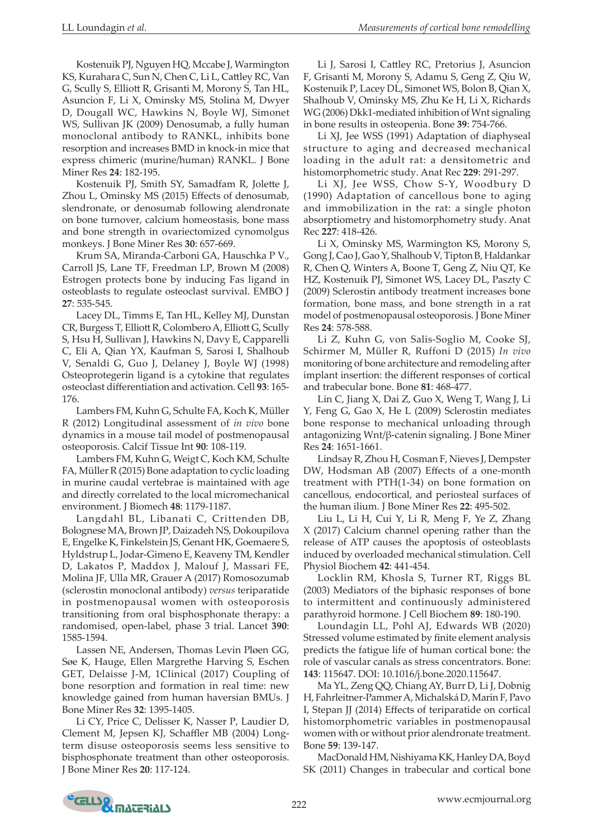Kostenuik PJ, Nguyen HQ, Mccabe J, Warmington KS, Kurahara C, Sun N, Chen C, Li L, Cattley RC, Van G, Scully S, Elliott R, Grisanti M, Morony S, Tan HL, Asuncion F, Li X, Ominsky MS, Stolina M, Dwyer D, Dougall WC, Hawkins N, Boyle WJ, Simonet WS, Sullivan JK (2009) Denosumab, a fully human monoclonal antibody to RANKL, inhibits bone resorption and increases BMD in knock-in mice that express chimeric (murine/human) RANKL. J Bone Miner Res **24**: 182-195.

Kostenuik PJ, Smith SY, Samadfam R, Jolette J, Zhou L, Ominsky MS (2015) Effects of denosumab, slendronate, or denosumab following alendronate on bone turnover, calcium homeostasis, bone mass and bone strength in ovariectomized cynomolgus monkeys. J Bone Miner Res **30**: 657-669.

Krum SA, Miranda-Carboni GA, Hauschka P V., Carroll JS, Lane TF, Freedman LP, Brown M (2008) Estrogen protects bone by inducing Fas ligand in osteoblasts to regulate osteoclast survival. EMBO J **27**: 535-545.

Lacey DL, Timms E, Tan HL, Kelley MJ, Dunstan CR, Burgess T, Elliott R, Colombero A, Elliott G, Scully S, Hsu H, Sullivan J, Hawkins N, Davy E, Capparelli C, Eli A, Qian YX, Kaufman S, Sarosi I, Shalhoub V, Senaldi G, Guo J, Delaney J, Boyle WJ (1998) Osteoprotegerin ligand is a cytokine that regulates osteoclast differentiation and activation. Cell **93**: 165- 176.

Lambers FM, Kuhn G, Schulte FA, Koch K, Müller R (2012) Longitudinal assessment of *in vivo* bone dynamics in a mouse tail model of postmenopausal osteoporosis. Calcif Tissue Int **90**: 108-119.

Lambers FM, Kuhn G, Weigt C, Koch KM, Schulte FA, Müller R (2015) Bone adaptation to cyclic loading in murine caudal vertebrae is maintained with age and directly correlated to the local micromechanical environment. J Biomech **48**: 1179-1187.

Langdahl BL, Libanati C, Crittenden DB, Bolognese MA, Brown JP, Daizadeh NS, Dokoupilova E, Engelke K, Finkelstein JS, Genant HK, Goemaere S, Hyldstrup L, Jodar-Gimeno E, Keaveny TM, Kendler D, Lakatos P, Maddox J, Malouf J, Massari FE, Molina JF, Ulla MR, Grauer A (2017) Romosozumab (sclerostin monoclonal antibody) *versus* teriparatide in postmenopausal women with osteoporosis transitioning from oral bisphosphonate therapy: a randomised, open-label, phase 3 trial. Lancet **390**: 1585-1594.

Lassen NE, Andersen, Thomas Levin Pløen GG, Søe K, Hauge, Ellen Margrethe Harving S, Eschen GET, Delaisse J-M, 1Clinical (2017) Coupling of bone resorption and formation in real time: new knowledge gained from human haversian BMUs. J Bone Miner Res **32**: 1395-1405.

Li CY, Price C, Delisser K, Nasser P, Laudier D, Clement M, Jepsen KJ, Schaffler MB (2004) Longterm disuse osteoporosis seems less sensitive to bisphosphonate treatment than other osteoporosis. J Bone Miner Res **20**: 117-124.

Li J, Sarosi I, Cattley RC, Pretorius J, Asuncion F, Grisanti M, Morony S, Adamu S, Geng Z, Qiu W, Kostenuik P, Lacey DL, Simonet WS, Bolon B, Qian X, Shalhoub V, Ominsky MS, Zhu Ke H, Li X, Richards WG (2006) Dkk1-mediated inhibition of Wnt signaling in bone results in osteopenia. Bone **39**: 754-766.

Li XJ, Jee WSS (1991) Adaptation of diaphyseal structure to aging and decreased mechanical loading in the adult rat: a densitometric and histomorphometric study. Anat Rec **229**: 291-297.

Li XJ, Jee WSS, Chow S-Y, Woodbury D (1990) Adaptation of cancellous bone to aging and immobilization in the rat: a single photon absorptiometry and histomorphometry study. Anat Rec **227**: 418-426.

Li X, Ominsky MS, Warmington KS, Morony S, Gong J, Cao J, Gao Y, Shalhoub V, Tipton B, Haldankar R, Chen Q, Winters A, Boone T, Geng Z, Niu QT, Ke HZ, Kostenuik PJ, Simonet WS, Lacey DL, Paszty C (2009) Sclerostin antibody treatment increases bone formation, bone mass, and bone strength in a rat model of postmenopausal osteoporosis. J Bone Miner Res **24**: 578-588.

Li Z, Kuhn G, von Salis-Soglio M, Cooke SJ, Schirmer M, Müller R, Ruffoni D (2015) *In vivo* monitoring of bone architecture and remodeling after implant insertion: the different responses of cortical and trabecular bone. Bone **81**: 468-477.

Lin C, Jiang X, Dai Z, Guo X, Weng T, Wang J, Li Y, Feng G, Gao X, He L (2009) Sclerostin mediates bone response to mechanical unloading through antagonizing Wnt/β-catenin signaling. J Bone Miner Res **24**: 1651-1661.

Lindsay R, Zhou H, Cosman F, Nieves J, Dempster DW, Hodsman AB (2007) Effects of a one-month treatment with PTH(1-34) on bone formation on cancellous, endocortical, and periosteal surfaces of the human ilium. J Bone Miner Res **22**: 495-502.

Liu L, Li H, Cui Y, Li R, Meng F, Ye Z, Zhang X (2017) Calcium channel opening rather than the release of ATP causes the apoptosis of osteoblasts induced by overloaded mechanical stimulation. Cell Physiol Biochem **42**: 441-454.

Locklin RM, Khosla S, Turner RT, Riggs BL (2003) Mediators of the biphasic responses of bone to intermittent and continuously administered parathyroid hormone. J Cell Biochem **89**: 180-190.

Loundagin LL, Pohl AJ, Edwards WB (2020) Stressed volume estimated by finite element analysis predicts the fatigue life of human cortical bone: the role of vascular canals as stress concentrators. Bone: **143**: 115647. DOI: 10.1016/j.bone.2020.115647.

Ma YL, Zeng QQ, Chiang AY, Burr D, Li J, Dobnig H, Fahrleitner-Pammer A, Michalská D, Marin F, Pavo I, Stepan JJ (2014) Effects of teriparatide on cortical histomorphometric variables in postmenopausal women with or without prior alendronate treatment. Bone **59**: 139-147.

MacDonald HM, Nishiyama KK, Hanley DA, Boyd SK (2011) Changes in trabecular and cortical bone

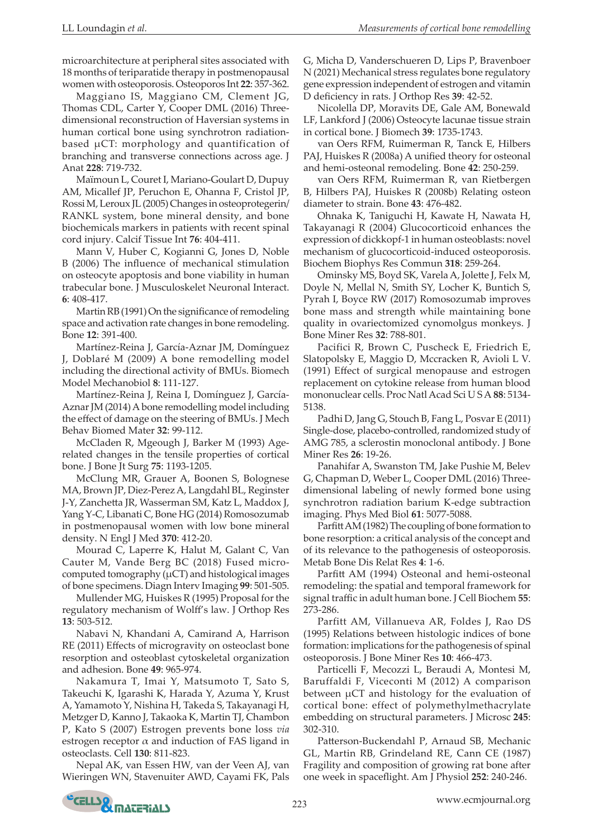microarchitecture at peripheral sites associated with 18 months of teriparatide therapy in postmenopausal women with osteoporosis. Osteoporos Int **22**: 357-362.

Maggiano IS, Maggiano CM, Clement JG, Thomas CDL, Carter Y, Cooper DML (2016) Threedimensional reconstruction of Haversian systems in human cortical bone using synchrotron radiationbased µCT: morphology and quantification of branching and transverse connections across age. J Anat **228**: 719-732.

Maïmoun L, Couret I, Mariano-Goulart D, Dupuy AM, Micallef JP, Peruchon E, Ohanna F, Cristol JP, Rossi M, Leroux JL (2005) Changes in osteoprotegerin/ RANKL system, bone mineral density, and bone biochemicals markers in patients with recent spinal cord injury. Calcif Tissue Int **76**: 404-411.

Mann V, Huber C, Kogianni G, Jones D, Noble B (2006) The influence of mechanical stimulation on osteocyte apoptosis and bone viability in human trabecular bone. J Musculoskelet Neuronal Interact. **6**: 408-417.

Martin RB (1991) On the significance of remodeling space and activation rate changes in bone remodeling. Bone **12**: 391-400.

Martínez-Reina J, García-Aznar JM, Domínguez J, Doblaré M (2009) A bone remodelling model including the directional activity of BMUs. Biomech Model Mechanobiol **8**: 111-127.

Martínez-Reina J, Reina I, Domínguez J, García-Aznar JM (2014) A bone remodelling model including the effect of damage on the steering of BMUs. J Mech Behav Biomed Mater **32**: 99-112.

McCladen R, Mgeough J, Barker M (1993) Agerelated changes in the tensile properties of cortical bone. J Bone Jt Surg **75**: 1193-1205.

McClung MR, Grauer A, Boonen S, Bolognese MA, Brown JP, Diez-Perez A, Langdahl BL, Reginster J-Y, Zanchetta JR, Wasserman SM, Katz L, Maddox J, Yang Y-C, Libanati C, Bone HG (2014) Romosozumab in postmenopausal women with low bone mineral density. N Engl J Med **370**: 412-20.

Mourad C, Laperre K, Halut M, Galant C, Van Cauter M, Vande Berg BC (2018) Fused microcomputed tomography  $(\mu$ CT) and histological images of bone specimens. Diagn Interv Imaging **99**: 501-505.

Mullender MG, Huiskes R (1995) Proposal for the regulatory mechanism of Wolff's law. J Orthop Res **13**: 503-512.

Nabavi N, Khandani A, Camirand A, Harrison RE (2011) Effects of microgravity on osteoclast bone resorption and osteoblast cytoskeletal organization and adhesion. Bone **49**: 965-974.

Nakamura T, Imai Y, Matsumoto T, Sato S, Takeuchi K, Igarashi K, Harada Y, Azuma Y, Krust A, Yamamoto Y, Nishina H, Takeda S, Takayanagi H, Metzger D, Kanno J, Takaoka K, Martin TJ, Chambon P, Kato S (2007) Estrogen prevents bone loss *via* estrogen receptor  $\alpha$  and induction of FAS ligand in osteoclasts. Cell **130**: 811-823.

Nepal AK, van Essen HW, van der Veen AJ, van Wieringen WN, Stavenuiter AWD, Cayami FK, Pals G, Micha D, Vanderschueren D, Lips P, Bravenboer N (2021) Mechanical stress regulates bone regulatory gene expression independent of estrogen and vitamin D deficiency in rats. J Orthop Res **39**: 42-52.

Nicolella DP, Moravits DE, Gale AM, Bonewald LF, Lankford J (2006) Osteocyte lacunae tissue strain in cortical bone. J Biomech **39**: 1735-1743.

van Oers RFM, Ruimerman R, Tanck E, Hilbers PAJ, Huiskes R (2008a) A unified theory for osteonal and hemi-osteonal remodeling. Bone **42**: 250-259.

van Oers RFM, Ruimerman R, van Rietbergen B, Hilbers PAJ, Huiskes R (2008b) Relating osteon diameter to strain. Bone **43**: 476-482.

Ohnaka K, Taniguchi H, Kawate H, Nawata H, Takayanagi R (2004) Glucocorticoid enhances the expression of dickkopf-1 in human osteoblasts: novel mechanism of glucocorticoid-induced osteoporosis. Biochem Biophys Res Commun **318**: 259-264.

Ominsky MS, Boyd SK, Varela A, Jolette J, Felx M, Doyle N, Mellal N, Smith SY, Locher K, Buntich S, Pyrah I, Boyce RW (2017) Romosozumab improves bone mass and strength while maintaining bone quality in ovariectomized cynomolgus monkeys. J Bone Miner Res **32**: 788-801.

Pacifici R, Brown C, Puscheck E, Friedrich E, Slatopolsky E, Maggio D, Mccracken R, Avioli L V. (1991) Effect of surgical menopause and estrogen replacement on cytokine release from human blood mononuclear cells. Proc Natl Acad Sci U S A **88**: 5134- 5138.

Padhi D, Jang G, Stouch B, Fang L, Posvar E (2011) Single-dose, placebo-controlled, randomized study of AMG 785, a sclerostin monoclonal antibody. J Bone Miner Res **26**: 19-26.

Panahifar A, Swanston TM, Jake Pushie M, Belev G, Chapman D, Weber L, Cooper DML (2016) Threedimensional labeling of newly formed bone using synchrotron radiation barium K-edge subtraction imaging. Phys Med Biol **61**: 5077-5088.

Parfitt AM (1982) The coupling of bone formation to bone resorption: a critical analysis of the concept and of its relevance to the pathogenesis of osteoporosis. Metab Bone Dis Relat Res **4**: 1-6.

Parfitt AM (1994) Osteonal and hemi‐osteonal remodeling: the spatial and temporal framework for signal traffic in adult human bone. J Cell Biochem **55**: 273-286.

Parfitt AM, Villanueva AR, Foldes J, Rao DS (1995) Relations between histologic indices of bone formation: implications for the pathogenesis of spinal osteoporosis. J Bone Miner Res **10**: 466-473.

Particelli F, Mecozzi L, Beraudi A, Montesi M, Baruffaldi F, Viceconti M (2012) A comparison between µCT and histology for the evaluation of cortical bone: effect of polymethylmethacrylate embedding on structural parameters. J Microsc **245**: 302-310.

Patterson-Buckendahl P, Arnaud SB, Mechanic GL, Martin RB, Grindeland RE, Cann CE (1987) Fragility and composition of growing rat bone after one week in spaceflight. Am J Physiol **252**: 240-246.

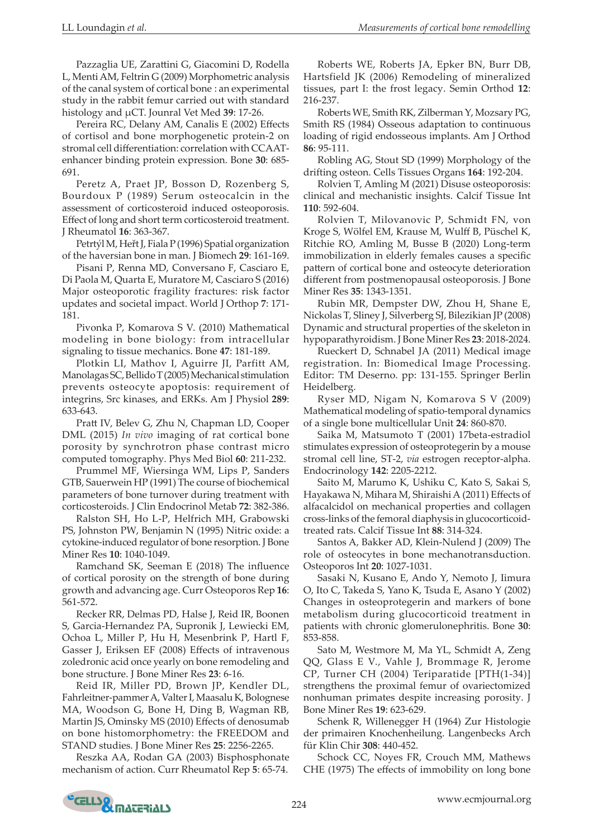Pazzaglia UE, Zarattini G, Giacomini D, Rodella L, Menti AM, Feltrin G (2009) Morphometric analysis of the canal system of cortical bone : an experimental study in the rabbit femur carried out with standard histology and µCT. Jounral Vet Med **39**: 17-26.

Pereira RC, Delany AM, Canalis E (2002) Effects of cortisol and bone morphogenetic protein-2 on stromal cell differentiation: correlation with CCAATenhancer binding protein expression. Bone **30**: 685- 691.

Peretz A, Praet JP, Bosson D, Rozenberg S, Bourdoux P (1989) Serum osteocalcin in the assessment of corticosteroid induced osteoporosis. Effect of long and short term corticosteroid treatment. J Rheumatol **16**: 363-367.

Petrtýl M, Heřt J, Fiala P (1996) Spatial organization of the haversian bone in man. J Biomech **29**: 161-169.

Pisani P, Renna MD, Conversano F, Casciaro E, Di Paola M, Quarta E, Muratore M, Casciaro S (2016) Major osteoporotic fragility fractures: risk factor updates and societal impact. World J Orthop **7**: 171- 181.

Pivonka P, Komarova S V. (2010) Mathematical modeling in bone biology: from intracellular signaling to tissue mechanics. Bone **47**: 181-189.

Plotkin LI, Mathov I, Aguirre JI, Parfitt AM, Manolagas SC, Bellido T (2005) Mechanical stimulation prevents osteocyte apoptosis: requirement of integrins, Src kinases, and ERKs. Am J Physiol **289**: 633-643.

Pratt IV, Belev G, Zhu N, Chapman LD, Cooper DML (2015) *In vivo* imaging of rat cortical bone porosity by synchrotron phase contrast micro computed tomography. Phys Med Biol **60**: 211-232.

Prummel MF, Wiersinga WM, Lips P, Sanders GTB, Sauerwein HP (1991) The course of biochemical parameters of bone turnover during treatment with corticosteroids. J Clin Endocrinol Metab **72**: 382-386.

Ralston SH, Ho L-P, Helfrich MH, Grabowski PS, Johnston PW, Benjamin N (1995) Nitric oxide: a cytokine-induced regulator of bone resorption. J Bone Miner Res **10**: 1040-1049.

Ramchand SK, Seeman E (2018) The influence of cortical porosity on the strength of bone during growth and advancing age. Curr Osteoporos Rep **16**: 561-572.

Recker RR, Delmas PD, Halse J, Reid IR, Boonen S, Garcia-Hernandez PA, Supronik J, Lewiecki EM, Ochoa L, Miller P, Hu H, Mesenbrink P, Hartl F, Gasser J, Eriksen EF (2008) Effects of intravenous zoledronic acid once yearly on bone remodeling and bone structure. J Bone Miner Res **23**: 6-16.

Reid IR, Miller PD, Brown JP, Kendler DL, Fahrleitner-pammer A, Valter I, Maasalu K, Bolognese MA, Woodson G, Bone H, Ding B, Wagman RB, Martin JS, Ominsky MS (2010) Effects of denosumab on bone histomorphometry: the FREEDOM and STAND studies. J Bone Miner Res **25**: 2256-2265.

Reszka AA, Rodan GA (2003) Bisphosphonate mechanism of action. Curr Rheumatol Rep **5**: 65-74.

Roberts WE, Roberts JA, Epker BN, Burr DB, Hartsfield JK (2006) Remodeling of mineralized tissues, part I: the frost legacy. Semin Orthod **12**: 216-237.

Roberts WE, Smith RK, Zilberman Y, Mozsary PG, Smith RS (1984) Osseous adaptation to continuous loading of rigid endosseous implants. Am J Orthod **86**: 95-111.

Robling AG, Stout SD (1999) Morphology of the drifting osteon. Cells Tissues Organs **164**: 192-204.

Rolvien T, Amling M (2021) Disuse osteoporosis: clinical and mechanistic insights. Calcif Tissue Int **110**: 592-604.

Rolvien T, Milovanovic P, Schmidt FN, von Kroge S, Wölfel EM, Krause M, Wulff B, Püschel K, Ritchie RO, Amling M, Busse B (2020) Long-term immobilization in elderly females causes a specific pattern of cortical bone and osteocyte deterioration different from postmenopausal osteoporosis. J Bone Miner Res **35**: 1343-1351.

Rubin MR, Dempster DW, Zhou H, Shane E, Nickolas T, Sliney J, Silverberg SJ, Bilezikian JP (2008) Dynamic and structural properties of the skeleton in hypoparathyroidism. J Bone Miner Res **23**: 2018-2024.

Rueckert D, Schnabel JA (2011) Medical image registration. In: Biomedical Image Processing. Editor: TM Deserno. pp: 131-155. Springer Berlin Heidelberg.

Ryser MD, Nigam N, Komarova S V (2009) Mathematical modeling of spatio-temporal dynamics of a single bone multicellular Unit **24**: 860-870.

Saika M, Matsumoto T (2001) 17beta-estradiol stimulates expression of osteoprotegerin by a mouse stromal cell line, ST-2, *via* estrogen receptor-alpha. Endocrinology **142**: 2205-2212.

Saito M, Marumo K, Ushiku C, Kato S, Sakai S, Hayakawa N, Mihara M, Shiraishi A (2011) Effects of alfacalcidol on mechanical properties and collagen cross-links of the femoral diaphysis in glucocorticoidtreated rats. Calcif Tissue Int **88**: 314-324.

Santos A, Bakker AD, Klein-Nulend J (2009) The role of osteocytes in bone mechanotransduction. Osteoporos Int **20**: 1027-1031.

Sasaki N, Kusano E, Ando Y, Nemoto J, Iimura O, Ito C, Takeda S, Yano K, Tsuda E, Asano Y (2002) Changes in osteoprotegerin and markers of bone metabolism during glucocorticoid treatment in patients with chronic glomerulonephritis. Bone **30**: 853-858.

Sato M, Westmore M, Ma YL, Schmidt A, Zeng QQ, Glass E V., Vahle J, Brommage R, Jerome CP, Turner CH (2004) Teriparatide [PTH(1-34)] strengthens the proximal femur of ovariectomized nonhuman primates despite increasing porosity. J Bone Miner Res **19**: 623-629.

Schenk R, Willenegger H (1964) Zur Histologie der primairen Knochenheilung. Langenbecks Arch für Klin Chir **308**: 440-452.

Schock CC, Noyes FR, Crouch MM, Mathews CHE (1975) The effects of immobility on long bone

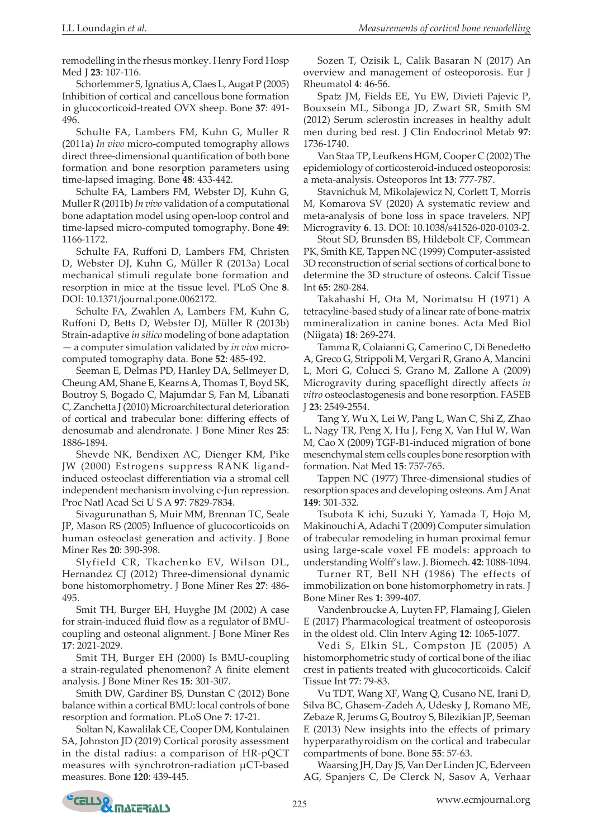remodelling in the rhesus monkey. Henry Ford Hosp Med J **23**: 107-116.

Schorlemmer S, Ignatius A, Claes L, Augat P (2005) Inhibition of cortical and cancellous bone formation in glucocorticoid-treated OVX sheep. Bone **37**: 491- 496.

Schulte FA, Lambers FM, Kuhn G, Muller R (2011a) *In vivo* micro-computed tomography allows direct three-dimensional quantification of both bone formation and bone resorption parameters using time-lapsed imaging. Bone **48**: 433-442.

Schulte FA, Lambers FM, Webster DJ, Kuhn G, Muller R (2011b) *In vivo* validation of a computational bone adaptation model using open-loop control and time-lapsed micro-computed tomography. Bone **49**: 1166-1172.

Schulte FA, Ruffoni D, Lambers FM, Christen D, Webster DJ, Kuhn G, Müller R (2013a) Local mechanical stimuli regulate bone formation and resorption in mice at the tissue level. PLoS One **8**. DOI: 10.1371/journal.pone.0062172.

Schulte FA, Zwahlen A, Lambers FM, Kuhn G, Ruffoni D, Betts D, Webster DJ, Müller R (2013b) Strain-adaptive *in silico* modeling of bone adaptation — a computer simulation validated by *in vivo* microcomputed tomography data. Bone **52**: 485-492.

Seeman E, Delmas PD, Hanley DA, Sellmeyer D, Cheung AM, Shane E, Kearns A, Thomas T, Boyd SK, Boutroy S, Bogado C, Majumdar S, Fan M, Libanati C, Zanchetta J (2010) Microarchitectural deterioration of cortical and trabecular bone: differing effects of denosumab and alendronate. J Bone Miner Res **25**: 1886-1894.

Shevde NK, Bendixen AC, Dienger KM, Pike JW (2000) Estrogens suppress RANK ligandinduced osteoclast differentiation via a stromal cell independent mechanism involving c-Jun repression. Proc Natl Acad Sci U S A **97**: 7829-7834.

Sivagurunathan S, Muir MM, Brennan TC, Seale JP, Mason RS (2005) Influence of glucocorticoids on human osteoclast generation and activity. J Bone Miner Res **20**: 390-398.

Slyfield CR, Tkachenko EV, Wilson DL, Hernandez CJ (2012) Three-dimensional dynamic bone histomorphometry. J Bone Miner Res **27**: 486- 495.

Smit TH, Burger EH, Huyghe JM (2002) A case for strain-induced fluid flow as a regulator of BMUcoupling and osteonal alignment. J Bone Miner Res **17**: 2021-2029.

Smit TH, Burger EH (2000) Is BMU-coupling a strain-regulated phenomenon? A finite element analysis. J Bone Miner Res **15**: 301-307.

Smith DW, Gardiner BS, Dunstan C (2012) Bone balance within a cortical BMU: local controls of bone resorption and formation. PLoS One **7**: 17-21.

Soltan N, Kawalilak CE, Cooper DM, Kontulainen SA, Johnston JD (2019) Cortical porosity assessment in the distal radius: a comparison of HR-pQCT measures with synchrotron-radiation µCT-based measures. Bone **120**: 439-445.

Sozen T, Ozisik L, Calik Basaran N (2017) An overview and management of osteoporosis. Eur J Rheumatol **4**: 46-56.

Spatz JM, Fields EE, Yu EW, Divieti Pajevic P, Bouxsein ML, Sibonga JD, Zwart SR, Smith SM (2012) Serum sclerostin increases in healthy adult men during bed rest. J Clin Endocrinol Metab **97**: 1736-1740.

Van Staa TP, Leufkens HGM, Cooper C (2002) The epidemiology of corticosteroid-induced osteoporosis: a meta-analysis. Osteoporos Int **13**: 777-787.

Stavnichuk M, Mikolajewicz N, Corlett T, Morris M, Komarova SV (2020) A systematic review and meta-analysis of bone loss in space travelers. NPJ Microgravity **6**. 13. DOI: 10.1038/s41526-020-0103-2.

Stout SD, Brunsden BS, Hildebolt CF, Commean PK, Smith KE, Tappen NC (1999) Computer-assisted 3D reconstruction of serial sections of cortical bone to determine the 3D structure of osteons. Calcif Tissue Int **65**: 280-284.

Takahashi H, Ota M, Norimatsu H (1971) A tetracyline-based study of a linear rate of bone-matrix mmineralization in canine bones. Acta Med Biol (Niigata) **18**: 269-274.

Tamma R, Colaianni G, Camerino C, Di Benedetto A, Greco G, Strippoli M, Vergari R, Grano A, Mancini L, Mori G, Colucci S, Grano M, Zallone A (2009) Microgravity during spaceflight directly affects *in vitro* osteoclastogenesis and bone resorption. FASEB J **23**: 2549-2554.

Tang Y, Wu X, Lei W, Pang L, Wan C, Shi Z, Zhao L, Nagy TR, Peng X, Hu J, Feng X, Van Hul W, Wan M, Cao X (2009) TGF-Β1-induced migration of bone mesenchymal stem cells couples bone resorption with formation. Nat Med **15**: 757-765.

Tappen NC (1977) Three-dimensional studies of resorption spaces and developing osteons. Am J Anat **149**: 301-332.

Tsubota K ichi, Suzuki Y, Yamada T, Hojo M, Makinouchi A, Adachi T (2009) Computer simulation of trabecular remodeling in human proximal femur using large-scale voxel FE models: approach to understanding Wolff's law. J. Biomech. **42**: 1088-1094.

Turner RT, Bell NH (1986) The effects of immobilization on bone histomorphometry in rats. J Bone Miner Res **1**: 399-407.

Vandenbroucke A, Luyten FP, Flamaing J, Gielen E (2017) Pharmacological treatment of osteoporosis in the oldest old. Clin Interv Aging **12**: 1065-1077.

Vedi S, Elkin SL, Compston JE (2005) A histomorphometric study of cortical bone of the iliac crest in patients treated with glucocorticoids. Calcif Tissue Int **77**: 79-83.

Vu TDT, Wang XF, Wang Q, Cusano NE, Irani D, Silva BC, Ghasem-Zadeh A, Udesky J, Romano ME, Zebaze R, Jerums G, Boutroy S, Bilezikian JP, Seeman E (2013) New insights into the effects of primary hyperparathyroidism on the cortical and trabecular compartments of bone. Bone **55**: 57-63.

Waarsing JH, Day JS, Van Der Linden JC, Ederveen AG, Spanjers C, De Clerck N, Sasov A, Verhaar

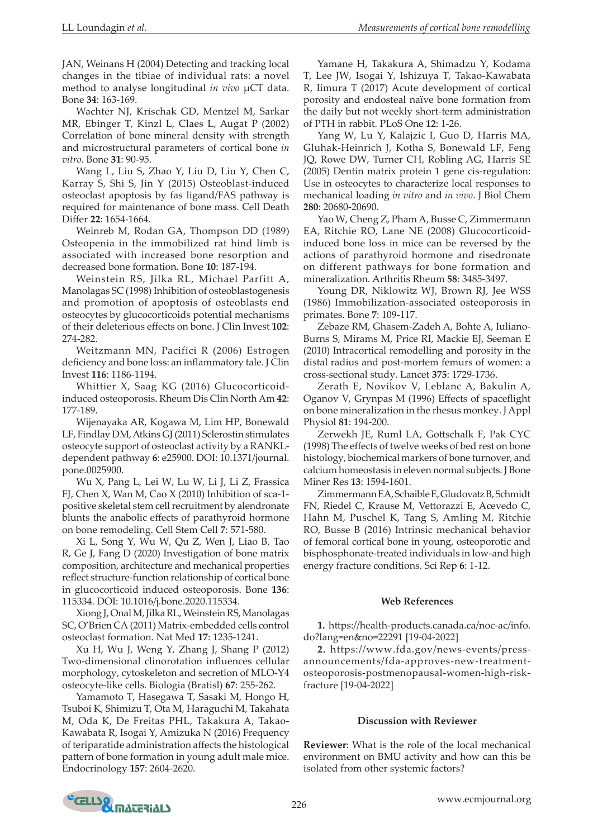JAN, Weinans H (2004) Detecting and tracking local changes in the tibiae of individual rats: a novel method to analyse longitudinal *in vivo* µCT data. Bone **34**: 163-169.

Wachter NJ, Krischak GD, Mentzel M, Sarkar MR, Ebinger T, Kinzl L, Claes L, Augat P (2002) Correlation of bone mineral density with strength and microstructural parameters of cortical bone *in vitro*. Bone **31**: 90-95.

Wang L, Liu S, Zhao Y, Liu D, Liu Y, Chen C, Karray S, Shi S, Jin Y (2015) Osteoblast-induced osteoclast apoptosis by fas ligand/FAS pathway is required for maintenance of bone mass. Cell Death Differ **22**: 1654-1664.

Weinreb M, Rodan GA, Thompson DD (1989) Osteopenia in the immobilized rat hind limb is associated with increased bone resorption and decreased bone formation. Bone **10**: 187-194.

Weinstein RS, Jilka RL, Michael Parfitt A, Manolagas SC (1998) Inhibition of osteoblastogenesis and promotion of apoptosis of osteoblasts end osteocytes by glucocorticoids potential mechanisms of their deleterious effects on bone. J Clin Invest **102**: 274-282.

Weitzmann MN, Pacifici R (2006) Estrogen deficiency and bone loss: an inflammatory tale. J Clin Invest **116**: 1186-1194.

Whittier X, Saag KG (2016) Glucocorticoidinduced osteoporosis. Rheum Dis Clin North Am **42**: 177-189.

Wijenayaka AR, Kogawa M, Lim HP, Bonewald LF, Findlay DM, Atkins GJ (2011) Sclerostin stimulates osteocyte support of osteoclast activity by a RANKLdependent pathway **6**: e25900. DOI: 10.1371/journal. pone.0025900.

Wu X, Pang L, Lei W, Lu W, Li J, Li Z, Frassica FJ, Chen X, Wan M, Cao X (2010) Inhibition of sca-1 positive skeletal stem cell recruitment by alendronate blunts the anabolic effects of parathyroid hormone on bone remodeling. Cell Stem Cell **7**: 571-580.

Xi L, Song Y, Wu W, Qu Z, Wen J, Liao B, Tao R, Ge J, Fang D (2020) Investigation of bone matrix composition, architecture and mechanical properties reflect structure-function relationship of cortical bone in glucocorticoid induced osteoporosis. Bone **136**: 115334. DOI: 10.1016/j.bone.2020.115334.

Xiong J, Onal M, Jilka RL, Weinstein RS, Manolagas SC, O'Brien CA (2011) Matrix-embedded cells control osteoclast formation. Nat Med **17**: 1235-1241.

Xu H, Wu J, Weng Y, Zhang J, Shang P (2012) Two-dimensional clinorotation influences cellular morphology, cytoskeleton and secretion of MLO-Y4 osteocyte-like cells. Biologia (Bratisl) **67**: 255-262.

Yamamoto T, Hasegawa T, Sasaki M, Hongo H, Tsuboi K, Shimizu T, Ota M, Haraguchi M, Takahata M, Oda K, De Freitas PHL, Takakura A, Takao-Kawabata R, Isogai Y, Amizuka N (2016) Frequency of teriparatide administration affects the histological pattern of bone formation in young adult male mice. Endocrinology **157**: 2604-2620.

Yamane H, Takakura A, Shimadzu Y, Kodama T, Lee JW, Isogai Y, Ishizuya T, Takao-Kawabata R, Iimura T (2017) Acute development of cortical porosity and endosteal naïve bone formation from the daily but not weekly short-term administration of PTH in rabbit. PLoS One **12**: 1-26.

Yang W, Lu Y, Kalajzic I, Guo D, Harris MA, Gluhak-Heinrich J, Kotha S, Bonewald LF, Feng JQ, Rowe DW, Turner CH, Robling AG, Harris SE (2005) Dentin matrix protein 1 gene cis-regulation: Use in osteocytes to characterize local responses to mechanical loading *in vitro* and *in vivo*. J Biol Chem **280**: 20680-20690.

Yao W, Cheng Z, Pham A, Busse C, Zimmermann EA, Ritchie RO, Lane NE (2008) Glucocorticoidinduced bone loss in mice can be reversed by the actions of parathyroid hormone and risedronate on different pathways for bone formation and mineralization. Arthritis Rheum **58**: 3485-3497.

Young DR, Niklowitz WJ, Brown RJ, Jee WSS (1986) Immobilization-associated osteoporosis in primates. Bone **7**: 109-117.

Zebaze RM, Ghasem-Zadeh A, Bohte A, Iuliano-Burns S, Mirams M, Price RI, Mackie EJ, Seeman E (2010) Intracortical remodelling and porosity in the distal radius and post-mortem femurs of women: a cross-sectional study. Lancet **375**: 1729-1736.

Zerath E, Novikov V, Leblanc A, Bakulin A, Oganov V, Grynpas M (1996) Effects of spaceflight on bone mineralization in the rhesus monkey. J Appl Physiol **81**: 194-200.

Zerwekh JE, Ruml LA, Gottschalk F, Pak CYC (1998) The effects of twelve weeks of bed rest on bone histology, biochemical markers of bone turnover, and calcium homeostasis in eleven normal subjects. J Bone Miner Res **13**: 1594-1601.

Zimmermann EA, Schaible E, Gludovatz B, Schmidt FN, Riedel C, Krause M, Vettorazzi E, Acevedo C, Hahn M, Puschel K, Tang S, Amling M, Ritchie RO, Busse B (2016) Intrinsic mechanical behavior of femoral cortical bone in young, osteoporotic and bisphosphonate-treated individuals in low-and high energy fracture conditions. Sci Rep **6**: 1-12.

#### **Web References**

**1.** https://health-products.canada.ca/noc-ac/info. do?lang=en&no=22291 [19-04-2022]

**2.** https://www.fda.gov/news-events/pressannouncements/fda-approves-new-treatmentosteoporosis-postmenopausal-women-high-riskfracture [19-04-2022]

#### **Discussion with Reviewer**

**Reviewer**: What is the role of the local mechanical environment on BMU activity and how can this be isolated from other systemic factors?